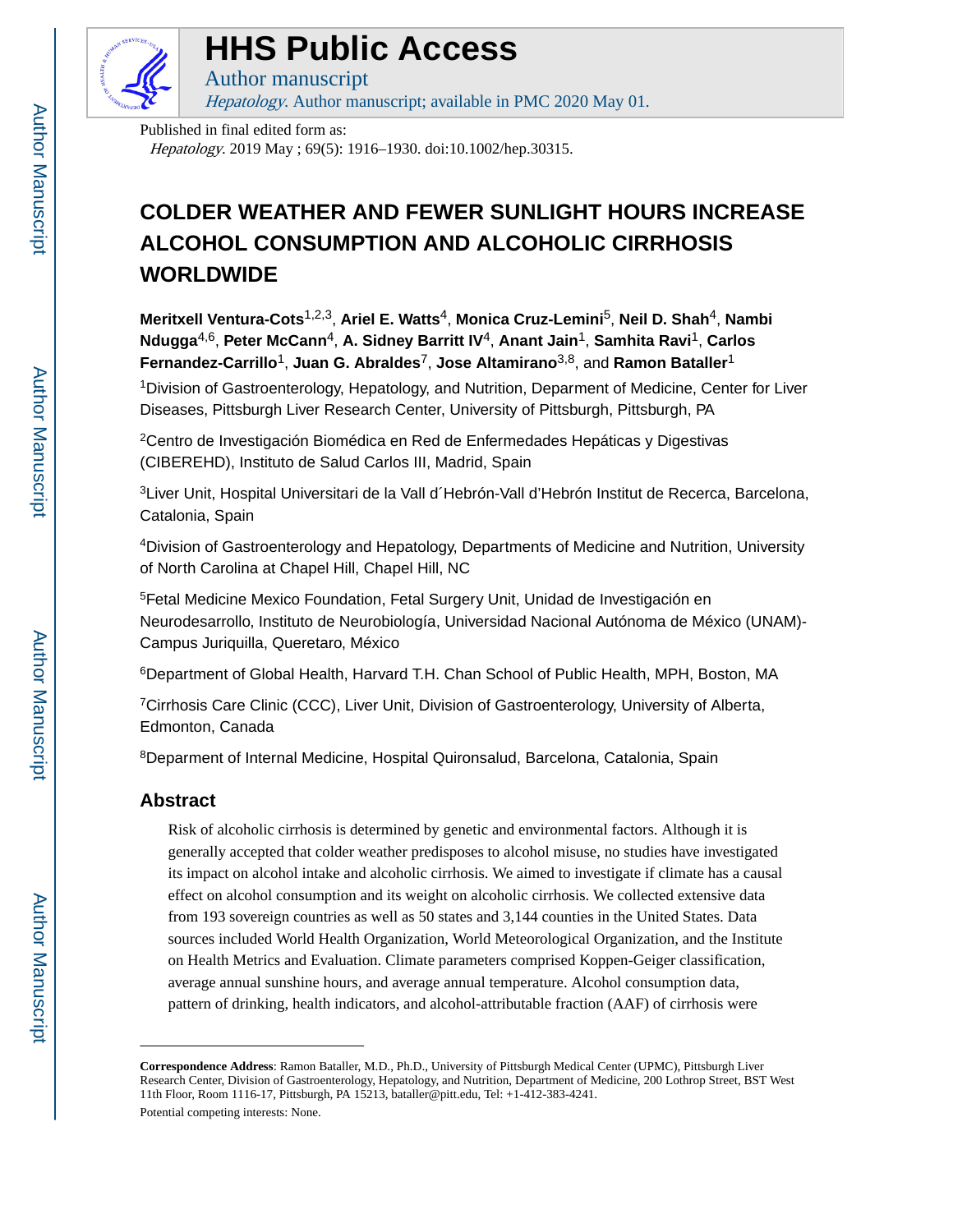

# **HHS Public Access**

Author manuscript Hepatology. Author manuscript; available in PMC 2020 May 01.

Published in final edited form as:

Hepatology. 2019 May ; 69(5): 1916–1930. doi:10.1002/hep.30315.

## **COLDER WEATHER AND FEWER SUNLIGHT HOURS INCREASE ALCOHOL CONSUMPTION AND ALCOHOLIC CIRRHOSIS WORLDWIDE**

**Meritxell Ventura-Cots**1,2,3, **Ariel E. Watts**4, **Monica Cruz-Lemini**5, **Neil D. Shah**4, **Nambi Ndugga**4,6, **Peter McCann**4, **A. Sidney Barritt IV**4, **Anant Jain**1, **Samhita Ravi**1, **Carlos Fernandez-Carrillo**1, **Juan G. Abraldes**7, **Jose Altamirano**3,8, and **Ramon Bataller**<sup>1</sup> <sup>1</sup>Division of Gastroenterology, Hepatology, and Nutrition, Deparment of Medicine, Center for Liver Diseases, Pittsburgh Liver Research Center, University of Pittsburgh, Pittsburgh, PA

<sup>2</sup>Centro de Investigación Biomédica en Red de Enfermedades Hepáticas y Digestivas (CIBEREHD), Instituto de Salud Carlos III, Madrid, Spain

<sup>3</sup>Liver Unit, Hospital Universitari de la Vall d´Hebrón-Vall d'Hebrón Institut de Recerca, Barcelona, Catalonia, Spain

<sup>4</sup>Division of Gastroenterology and Hepatology, Departments of Medicine and Nutrition, University of North Carolina at Chapel Hill, Chapel Hill, NC

<sup>5</sup>Fetal Medicine Mexico Foundation, Fetal Surgery Unit, Unidad de Investigación en Neurodesarrollo, Instituto de Neurobiología, Universidad Nacional Autónoma de México (UNAM)- Campus Juriquilla, Queretaro, México

<sup>6</sup>Department of Global Health, Harvard T.H. Chan School of Public Health, MPH, Boston, MA

<sup>7</sup>Cirrhosis Care Clinic (CCC), Liver Unit, Division of Gastroenterology, University of Alberta, Edmonton, Canada

<sup>8</sup>Deparment of Internal Medicine, Hospital Quironsalud, Barcelona, Catalonia, Spain

## **Abstract**

Risk of alcoholic cirrhosis is determined by genetic and environmental factors. Although it is generally accepted that colder weather predisposes to alcohol misuse, no studies have investigated its impact on alcohol intake and alcoholic cirrhosis. We aimed to investigate if climate has a causal effect on alcohol consumption and its weight on alcoholic cirrhosis. We collected extensive data from 193 sovereign countries as well as 50 states and 3,144 counties in the United States. Data sources included World Health Organization, World Meteorological Organization, and the Institute on Health Metrics and Evaluation. Climate parameters comprised Koppen-Geiger classification, average annual sunshine hours, and average annual temperature. Alcohol consumption data, pattern of drinking, health indicators, and alcohol-attributable fraction (AAF) of cirrhosis were

**Correspondence Address**: Ramon Bataller, M.D., Ph.D., University of Pittsburgh Medical Center (UPMC), Pittsburgh Liver Research Center, Division of Gastroenterology, Hepatology, and Nutrition, Department of Medicine, 200 Lothrop Street, BST West 11th Floor, Room 1116-17, Pittsburgh, PA 15213, bataller@pitt.edu, Tel: +1-412-383-4241. Potential competing interests: None.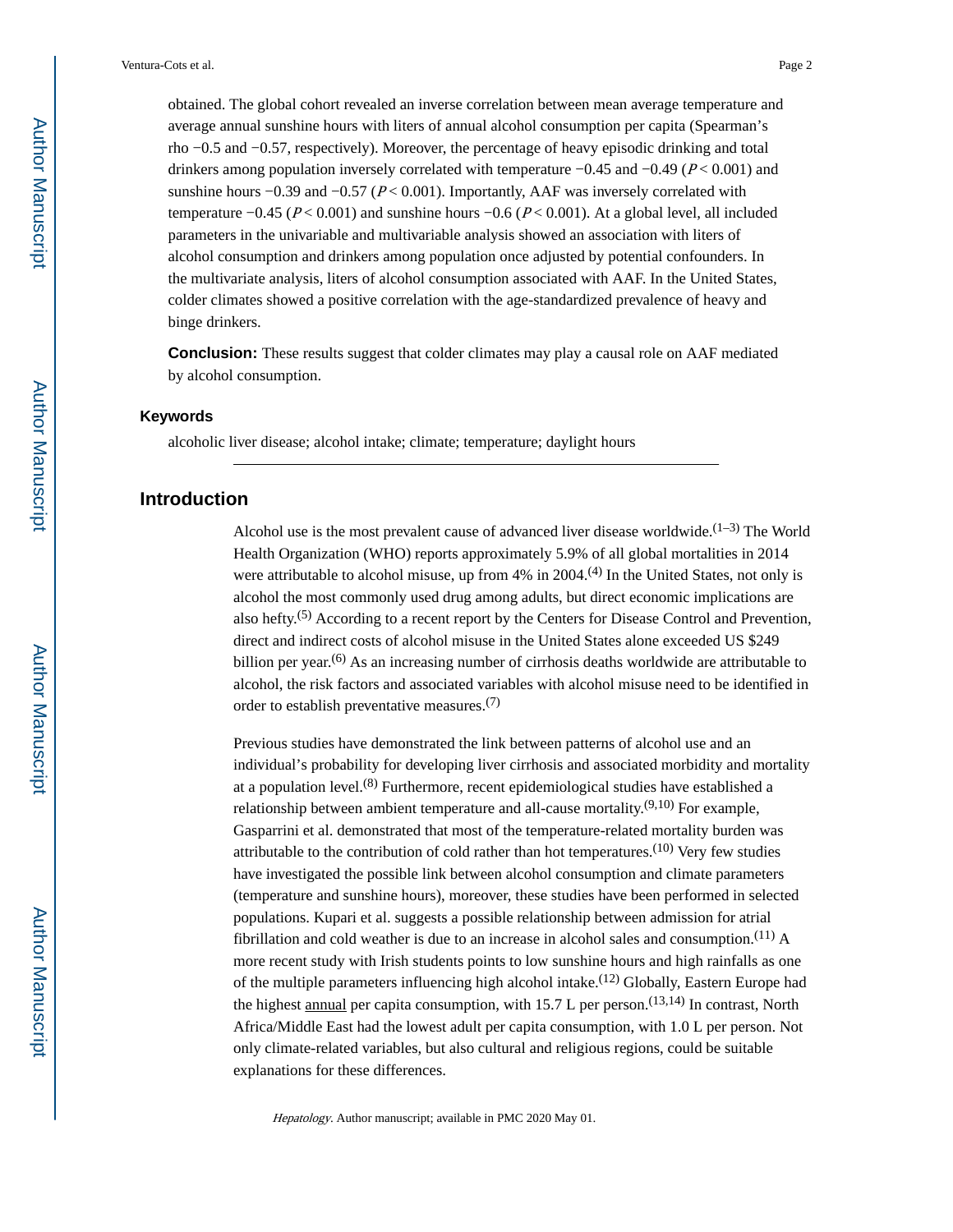obtained. The global cohort revealed an inverse correlation between mean average temperature and average annual sunshine hours with liters of annual alcohol consumption per capita (Spearman's rho −0.5 and −0.57, respectively). Moreover, the percentage of heavy episodic drinking and total drinkers among population inversely correlated with temperature  $-0.45$  and  $-0.49$  ( $P < 0.001$ ) and sunshine hours  $-0.39$  and  $-0.57$  ( $P < 0.001$ ). Importantly, AAF was inversely correlated with temperature  $-0.45$  ( $P < 0.001$ ) and sunshine hours  $-0.6$  ( $P < 0.001$ ). At a global level, all included parameters in the univariable and multivariable analysis showed an association with liters of alcohol consumption and drinkers among population once adjusted by potential confounders. In the multivariate analysis, liters of alcohol consumption associated with AAF. In the United States, colder climates showed a positive correlation with the age-standardized prevalence of heavy and binge drinkers.

**Conclusion:** These results suggest that colder climates may play a causal role on AAF mediated by alcohol consumption.

#### **Keywords**

alcoholic liver disease; alcohol intake; climate; temperature; daylight hours

## **Introduction**

Alcohol use is the most prevalent cause of advanced liver disease worldwide.  $(1-3)$  The World Health Organization (WHO) reports approximately 5.9% of all global mortalities in 2014 were attributable to alcohol misuse, up from 4% in 2004.<sup>(4)</sup> In the United States, not only is alcohol the most commonly used drug among adults, but direct economic implications are also hefty.<sup>(5)</sup> According to a recent report by the Centers for Disease Control and Prevention, direct and indirect costs of alcohol misuse in the United States alone exceeded US \$249 billion per year.<sup>(6)</sup> As an increasing number of cirrhosis deaths worldwide are attributable to alcohol, the risk factors and associated variables with alcohol misuse need to be identified in order to establish preventative measures.(7)

Previous studies have demonstrated the link between patterns of alcohol use and an individual's probability for developing liver cirrhosis and associated morbidity and mortality at a population level.<sup>(8)</sup> Furthermore, recent epidemiological studies have established a relationship between ambient temperature and all-cause mortality.<sup> $(9,10)$ </sup> For example, Gasparrini et al. demonstrated that most of the temperature-related mortality burden was attributable to the contribution of cold rather than hot temperatures.<sup>(10)</sup> Very few studies have investigated the possible link between alcohol consumption and climate parameters (temperature and sunshine hours), moreover, these studies have been performed in selected populations. Kupari et al. suggests a possible relationship between admission for atrial fibrillation and cold weather is due to an increase in alcohol sales and consumption.<sup>(11)</sup> A more recent study with Irish students points to low sunshine hours and high rainfalls as one of the multiple parameters influencing high alcohol intake.<sup>(12)</sup> Globally, Eastern Europe had the highest <u>annual</u> per capita consumption, with  $15.7$  L per person.<sup> $(13,14)$ </sup> In contrast, North Africa/Middle East had the lowest adult per capita consumption, with 1.0 L per person. Not only climate-related variables, but also cultural and religious regions, could be suitable explanations for these differences.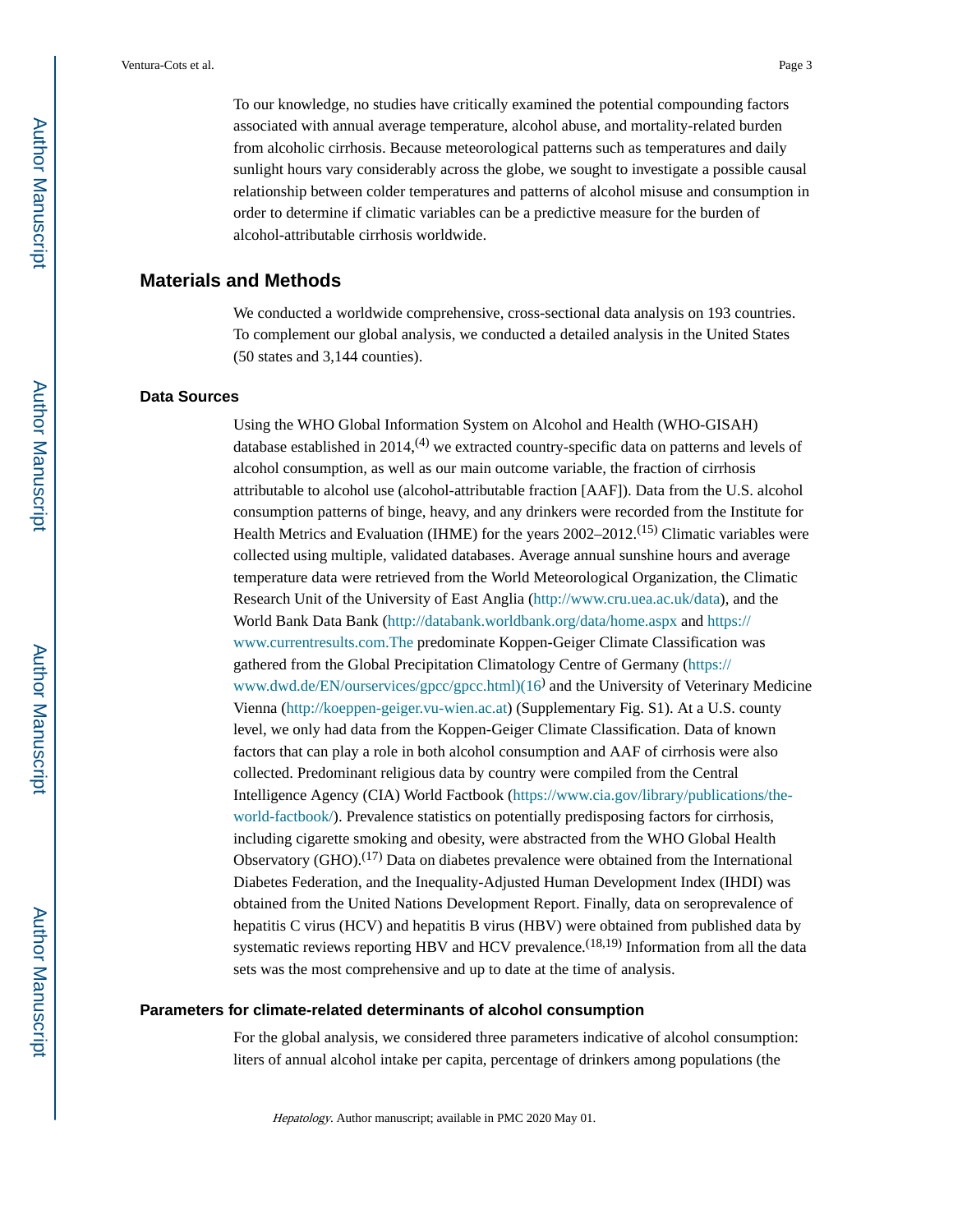To our knowledge, no studies have critically examined the potential compounding factors associated with annual average temperature, alcohol abuse, and mortality-related burden from alcoholic cirrhosis. Because meteorological patterns such as temperatures and daily sunlight hours vary considerably across the globe, we sought to investigate a possible causal relationship between colder temperatures and patterns of alcohol misuse and consumption in order to determine if climatic variables can be a predictive measure for the burden of alcohol-attributable cirrhosis worldwide.

## **Materials and Methods**

We conducted a worldwide comprehensive, cross-sectional data analysis on 193 countries. To complement our global analysis, we conducted a detailed analysis in the United States (50 states and 3,144 counties).

#### **Data Sources**

Using the WHO Global Information System on Alcohol and Health (WHO-GISAH) database established in  $2014<sup>(4)</sup>$  we extracted country-specific data on patterns and levels of alcohol consumption, as well as our main outcome variable, the fraction of cirrhosis attributable to alcohol use (alcohol-attributable fraction [AAF]). Data from the U.S. alcohol consumption patterns of binge, heavy, and any drinkers were recorded from the Institute for Health Metrics and Evaluation (IHME) for the years 2002–2012.<sup>(15)</sup> Climatic variables were collected using multiple, validated databases. Average annual sunshine hours and average temperature data were retrieved from the World Meteorological Organization, the Climatic Research Unit of the University of East Anglia ([http://www.cru.uea.ac.uk/data\)](http://www.cru.uea.ac.uk/data), and the World Bank Data Bank [\(http://databank.worldbank.org/data/home.aspx](http://databank.worldbank.org/data/home.aspx) and [https://](https://www.currentresults.com.the/) [www.currentresults.com.The](https://www.currentresults.com.the/) predominate Koppen-Geiger Climate Classification was gathered from the Global Precipitation Climatology Centre of Germany [\(https://](https://www.dwd.de/EN/ourservices/gpcc/gpcc.html)(16) [www.dwd.de/EN/ourservices/gpcc/gpcc.html\)\(16](https://www.dwd.de/EN/ourservices/gpcc/gpcc.html)(16)<sup>)</sup> and the University of Veterinary Medicine Vienna [\(http://koeppen-geiger.vu-wien.ac.at\)](http://koeppen-geiger.vu-wien.ac.at/) (Supplementary Fig. S1). At a U.S. county level, we only had data from the Koppen-Geiger Climate Classification. Data of known factors that can play a role in both alcohol consumption and AAF of cirrhosis were also collected. Predominant religious data by country were compiled from the Central Intelligence Agency (CIA) World Factbook ([https://www.cia.gov/library/publications/the](https://www.cia.gov/library/publications/the-world-factbook/)[world-factbook/](https://www.cia.gov/library/publications/the-world-factbook/)). Prevalence statistics on potentially predisposing factors for cirrhosis, including cigarette smoking and obesity, were abstracted from the WHO Global Health Observatory (GHO).<sup>(17)</sup> Data on diabetes prevalence were obtained from the International Diabetes Federation, and the Inequality-Adjusted Human Development Index (IHDI) was obtained from the United Nations Development Report. Finally, data on seroprevalence of hepatitis C virus (HCV) and hepatitis B virus (HBV) were obtained from published data by systematic reviews reporting HBV and HCV prevalence.<sup> $(18,19)$ </sup> Information from all the data sets was the most comprehensive and up to date at the time of analysis.

#### **Parameters for climate-related determinants of alcohol consumption**

For the global analysis, we considered three parameters indicative of alcohol consumption: liters of annual alcohol intake per capita, percentage of drinkers among populations (the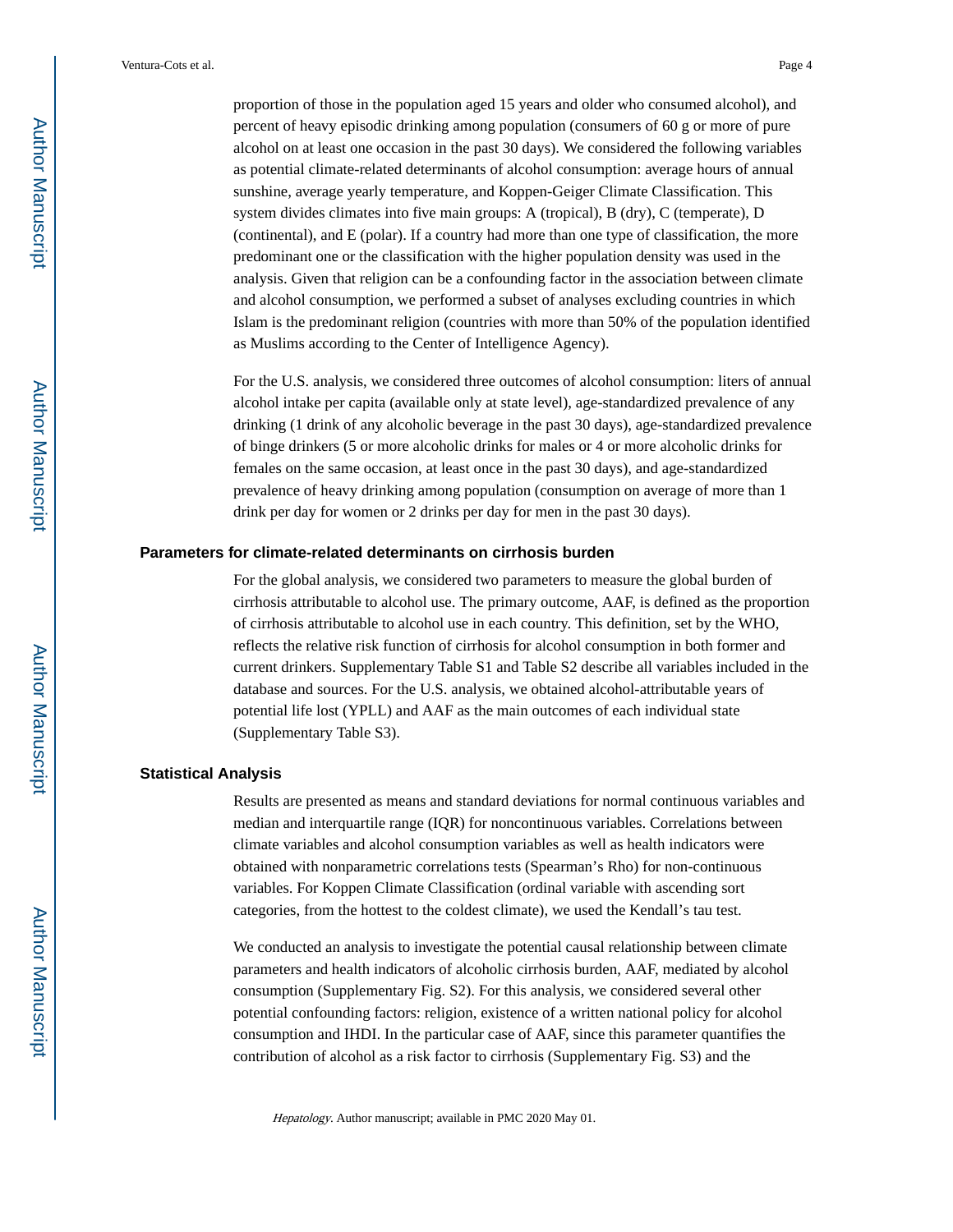proportion of those in the population aged 15 years and older who consumed alcohol), and percent of heavy episodic drinking among population (consumers of 60 g or more of pure alcohol on at least one occasion in the past 30 days). We considered the following variables as potential climate-related determinants of alcohol consumption: average hours of annual sunshine, average yearly temperature, and Koppen-Geiger Climate Classification. This system divides climates into five main groups: A (tropical), B (dry), C (temperate), D (continental), and E (polar). If a country had more than one type of classification, the more predominant one or the classification with the higher population density was used in the analysis. Given that religion can be a confounding factor in the association between climate and alcohol consumption, we performed a subset of analyses excluding countries in which Islam is the predominant religion (countries with more than 50% of the population identified as Muslims according to the Center of Intelligence Agency).

For the U.S. analysis, we considered three outcomes of alcohol consumption: liters of annual alcohol intake per capita (available only at state level), age-standardized prevalence of any drinking (1 drink of any alcoholic beverage in the past 30 days), age-standardized prevalence of binge drinkers (5 or more alcoholic drinks for males or 4 or more alcoholic drinks for females on the same occasion, at least once in the past 30 days), and age-standardized prevalence of heavy drinking among population (consumption on average of more than 1 drink per day for women or 2 drinks per day for men in the past 30 days).

#### **Parameters for climate-related determinants on cirrhosis burden**

For the global analysis, we considered two parameters to measure the global burden of cirrhosis attributable to alcohol use. The primary outcome, AAF, is defined as the proportion of cirrhosis attributable to alcohol use in each country. This definition, set by the WHO, reflects the relative risk function of cirrhosis for alcohol consumption in both former and current drinkers. Supplementary Table S1 and Table S2 describe all variables included in the database and sources. For the U.S. analysis, we obtained alcohol-attributable years of potential life lost (YPLL) and AAF as the main outcomes of each individual state (Supplementary Table S3).

#### **Statistical Analysis**

Results are presented as means and standard deviations for normal continuous variables and median and interquartile range (IQR) for noncontinuous variables. Correlations between climate variables and alcohol consumption variables as well as health indicators were obtained with nonparametric correlations tests (Spearman's Rho) for non-continuous variables. For Koppen Climate Classification (ordinal variable with ascending sort categories, from the hottest to the coldest climate), we used the Kendall's tau test.

We conducted an analysis to investigate the potential causal relationship between climate parameters and health indicators of alcoholic cirrhosis burden, AAF, mediated by alcohol consumption (Supplementary Fig. S2). For this analysis, we considered several other potential confounding factors: religion, existence of a written national policy for alcohol consumption and IHDI. In the particular case of AAF, since this parameter quantifies the contribution of alcohol as a risk factor to cirrhosis (Supplementary Fig. S3) and the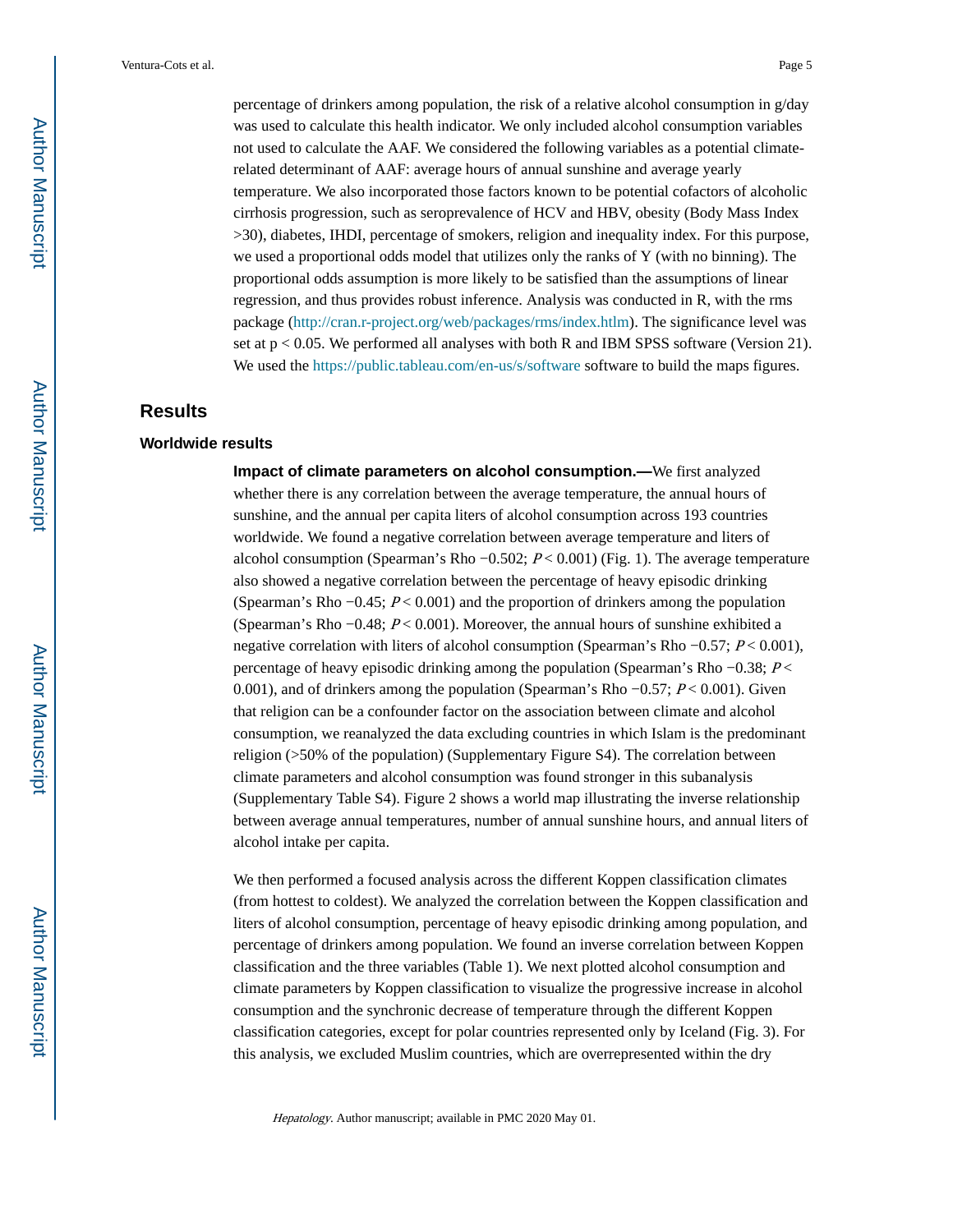percentage of drinkers among population, the risk of a relative alcohol consumption in g/day was used to calculate this health indicator. We only included alcohol consumption variables not used to calculate the AAF. We considered the following variables as a potential climaterelated determinant of AAF: average hours of annual sunshine and average yearly temperature. We also incorporated those factors known to be potential cofactors of alcoholic cirrhosis progression, such as seroprevalence of HCV and HBV, obesity (Body Mass Index >30), diabetes, IHDI, percentage of smokers, religion and inequality index. For this purpose, we used a proportional odds model that utilizes only the ranks of Y (with no binning). The proportional odds assumption is more likely to be satisfied than the assumptions of linear regression, and thus provides robust inference. Analysis was conducted in R, with the rms package (<http://cran.r-project.org/web/packages/rms/index.htlm>). The significance level was set at  $p < 0.05$ . We performed all analyses with both R and IBM SPSS software (Version 21).

We used the<https://public.tableau.com/en-us/s/software> software to build the maps figures.

## **Results**

#### **Worldwide results**

**Impact of climate parameters on alcohol consumption.—**We first analyzed whether there is any correlation between the average temperature, the annual hours of sunshine, and the annual per capita liters of alcohol consumption across 193 countries worldwide. We found a negative correlation between average temperature and liters of alcohol consumption (Spearman's Rho  $-0.502$ ;  $P < 0.001$ ) (Fig. 1). The average temperature also showed a negative correlation between the percentage of heavy episodic drinking (Spearman's Rho  $-0.45$ ;  $P < 0.001$ ) and the proportion of drinkers among the population (Spearman's Rho −0.48; P < 0.001). Moreover, the annual hours of sunshine exhibited a negative correlation with liters of alcohol consumption (Spearman's Rho −0.57; P < 0.001), percentage of heavy episodic drinking among the population (Spearman's Rho −0.38; P< 0.001), and of drinkers among the population (Spearman's Rho −0.57; P < 0.001). Given that religion can be a confounder factor on the association between climate and alcohol consumption, we reanalyzed the data excluding countries in which Islam is the predominant religion (>50% of the population) (Supplementary Figure S4). The correlation between climate parameters and alcohol consumption was found stronger in this subanalysis (Supplementary Table S4). Figure 2 shows a world map illustrating the inverse relationship between average annual temperatures, number of annual sunshine hours, and annual liters of alcohol intake per capita.

We then performed a focused analysis across the different Koppen classification climates (from hottest to coldest). We analyzed the correlation between the Koppen classification and liters of alcohol consumption, percentage of heavy episodic drinking among population, and percentage of drinkers among population. We found an inverse correlation between Koppen classification and the three variables (Table 1). We next plotted alcohol consumption and climate parameters by Koppen classification to visualize the progressive increase in alcohol consumption and the synchronic decrease of temperature through the different Koppen classification categories, except for polar countries represented only by Iceland (Fig. 3). For this analysis, we excluded Muslim countries, which are overrepresented within the dry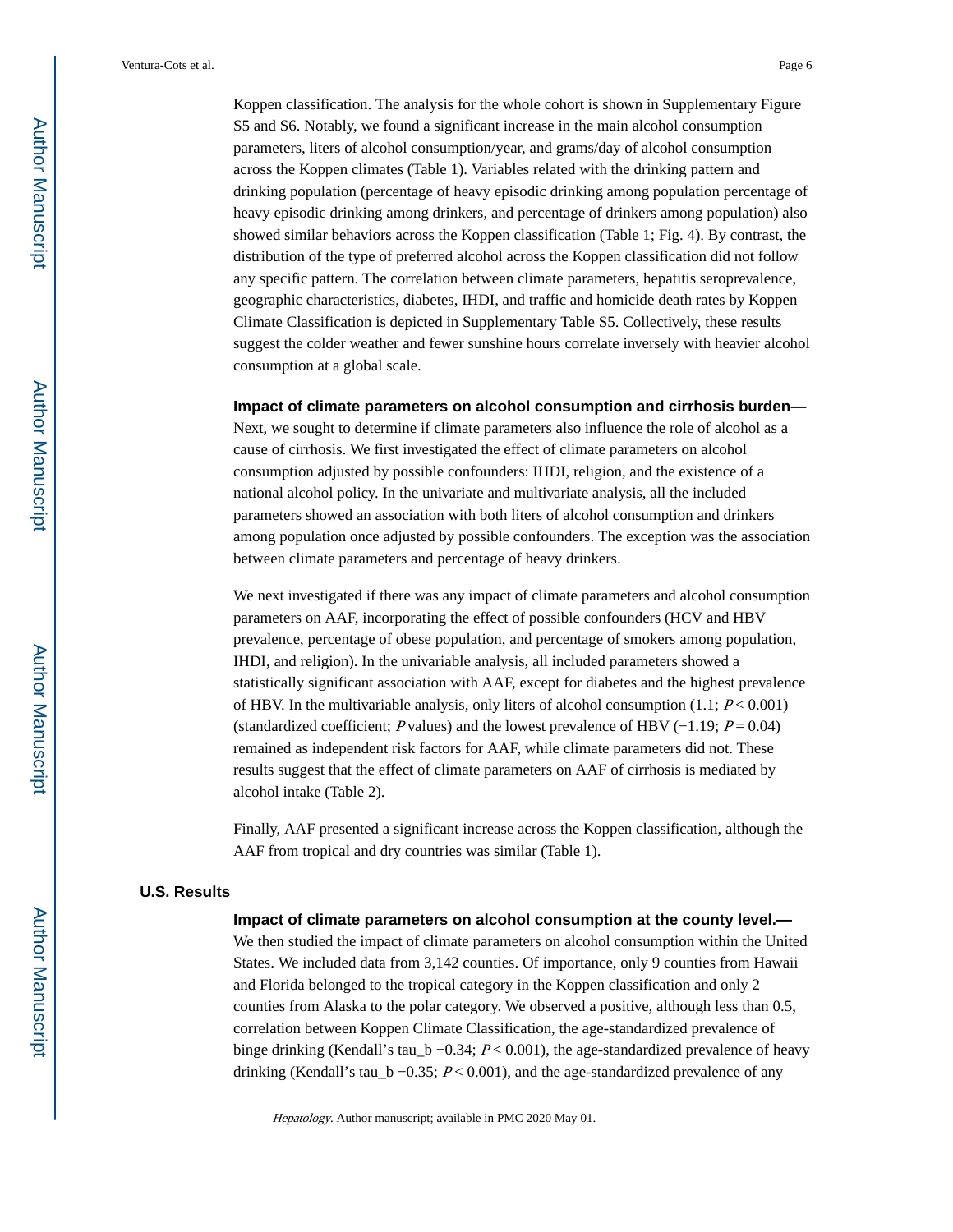Koppen classification. The analysis for the whole cohort is shown in Supplementary Figure S5 and S6. Notably, we found a significant increase in the main alcohol consumption parameters, liters of alcohol consumption/year, and grams/day of alcohol consumption across the Koppen climates (Table 1). Variables related with the drinking pattern and drinking population (percentage of heavy episodic drinking among population percentage of heavy episodic drinking among drinkers, and percentage of drinkers among population) also showed similar behaviors across the Koppen classification (Table 1; Fig. 4). By contrast, the distribution of the type of preferred alcohol across the Koppen classification did not follow any specific pattern. The correlation between climate parameters, hepatitis seroprevalence, geographic characteristics, diabetes, IHDI, and traffic and homicide death rates by Koppen Climate Classification is depicted in Supplementary Table S5. Collectively, these results suggest the colder weather and fewer sunshine hours correlate inversely with heavier alcohol consumption at a global scale.

#### **Impact of climate parameters on alcohol consumption and cirrhosis burden—**

Next, we sought to determine if climate parameters also influence the role of alcohol as a cause of cirrhosis. We first investigated the effect of climate parameters on alcohol consumption adjusted by possible confounders: IHDI, religion, and the existence of a national alcohol policy. In the univariate and multivariate analysis, all the included parameters showed an association with both liters of alcohol consumption and drinkers among population once adjusted by possible confounders. The exception was the association between climate parameters and percentage of heavy drinkers.

We next investigated if there was any impact of climate parameters and alcohol consumption parameters on AAF, incorporating the effect of possible confounders (HCV and HBV prevalence, percentage of obese population, and percentage of smokers among population, IHDI, and religion). In the univariable analysis, all included parameters showed a statistically significant association with AAF, except for diabetes and the highest prevalence of HBV. In the multivariable analysis, only liters of alcohol consumption  $(1.1; P < 0.001)$ (standardized coefficient; P values) and the lowest prevalence of HBV  $(-1.19; P = 0.04)$ remained as independent risk factors for AAF, while climate parameters did not. These results suggest that the effect of climate parameters on AAF of cirrhosis is mediated by alcohol intake (Table 2).

Finally, AAF presented a significant increase across the Koppen classification, although the AAF from tropical and dry countries was similar (Table 1).

#### **U.S. Results**

#### **Impact of climate parameters on alcohol consumption at the county level.—**

We then studied the impact of climate parameters on alcohol consumption within the United States. We included data from 3,142 counties. Of importance, only 9 counties from Hawaii and Florida belonged to the tropical category in the Koppen classification and only 2 counties from Alaska to the polar category. We observed a positive, although less than 0.5, correlation between Koppen Climate Classification, the age-standardized prevalence of binge drinking (Kendall's tau\_b  $-0.34$ ;  $P < 0.001$ ), the age-standardized prevalence of heavy drinking (Kendall's tau b  $-0.35$ ;  $P < 0.001$ ), and the age-standardized prevalence of any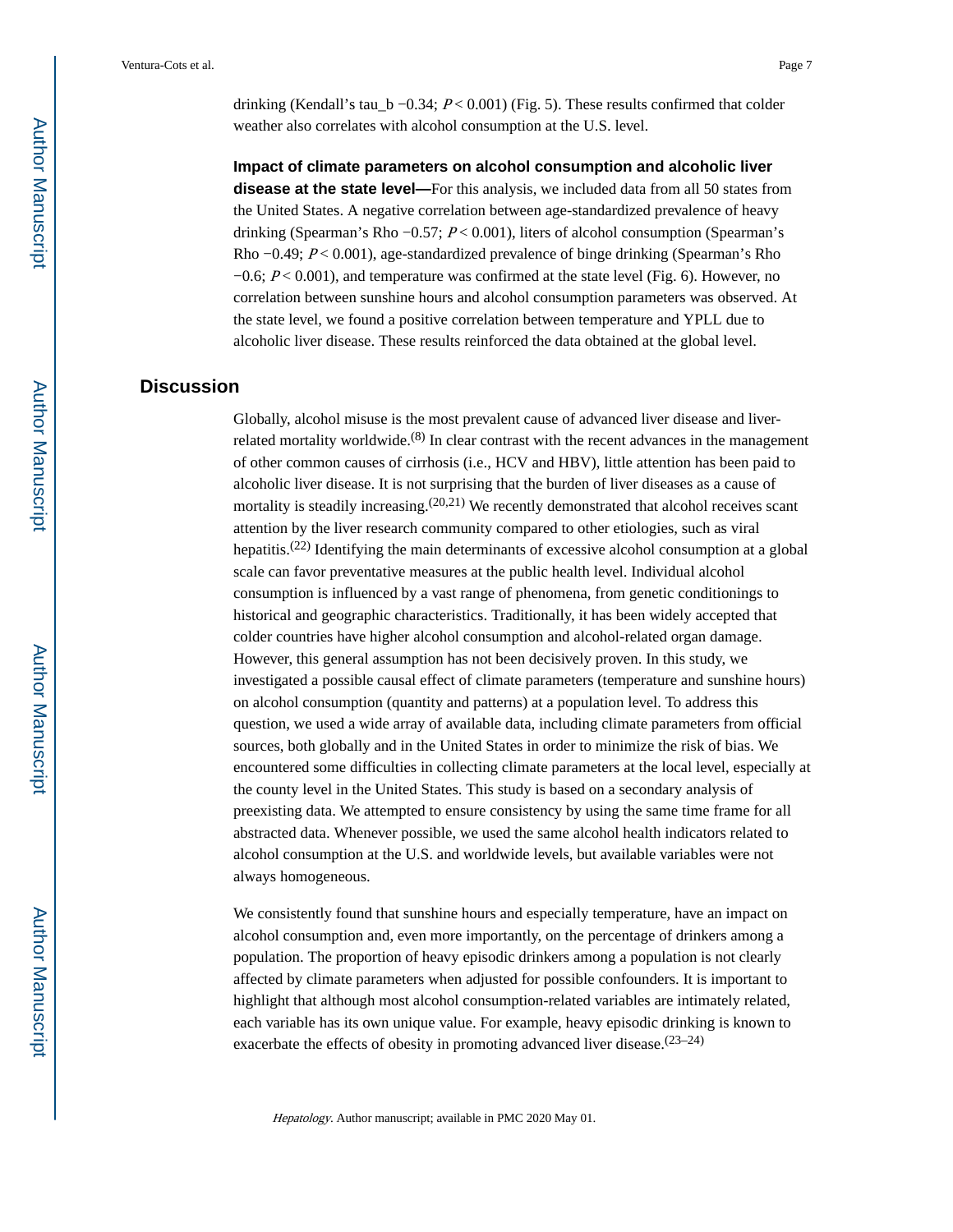drinking (Kendall's tau b −0.34;  $P < 0.001$ ) (Fig. 5). These results confirmed that colder weather also correlates with alcohol consumption at the U.S. level.

**Impact of climate parameters on alcohol consumption and alcoholic liver disease at the state level—**For this analysis, we included data from all 50 states from the United States. A negative correlation between age-standardized prevalence of heavy drinking (Spearman's Rho −0.57; P < 0.001), liters of alcohol consumption (Spearman's Rho −0.49; P < 0.001), age-standardized prevalence of binge drinking (Spearman's Rho  $-0.6$ ;  $P < 0.001$ ), and temperature was confirmed at the state level (Fig. 6). However, no correlation between sunshine hours and alcohol consumption parameters was observed. At the state level, we found a positive correlation between temperature and YPLL due to alcoholic liver disease. These results reinforced the data obtained at the global level.

## **Discussion**

Globally, alcohol misuse is the most prevalent cause of advanced liver disease and liverrelated mortality worldwide.<sup>(8)</sup> In clear contrast with the recent advances in the management of other common causes of cirrhosis (i.e., HCV and HBV), little attention has been paid to alcoholic liver disease. It is not surprising that the burden of liver diseases as a cause of mortality is steadily increasing. $(20,21)$  We recently demonstrated that alcohol receives scant attention by the liver research community compared to other etiologies, such as viral hepatitis.<sup>(22)</sup> Identifying the main determinants of excessive alcohol consumption at a global scale can favor preventative measures at the public health level. Individual alcohol consumption is influenced by a vast range of phenomena, from genetic conditionings to historical and geographic characteristics. Traditionally, it has been widely accepted that colder countries have higher alcohol consumption and alcohol-related organ damage. However, this general assumption has not been decisively proven. In this study, we investigated a possible causal effect of climate parameters (temperature and sunshine hours) on alcohol consumption (quantity and patterns) at a population level. To address this question, we used a wide array of available data, including climate parameters from official sources, both globally and in the United States in order to minimize the risk of bias. We encountered some difficulties in collecting climate parameters at the local level, especially at the county level in the United States. This study is based on a secondary analysis of preexisting data. We attempted to ensure consistency by using the same time frame for all abstracted data. Whenever possible, we used the same alcohol health indicators related to alcohol consumption at the U.S. and worldwide levels, but available variables were not always homogeneous.

We consistently found that sunshine hours and especially temperature, have an impact on alcohol consumption and, even more importantly, on the percentage of drinkers among a population. The proportion of heavy episodic drinkers among a population is not clearly affected by climate parameters when adjusted for possible confounders. It is important to highlight that although most alcohol consumption-related variables are intimately related, each variable has its own unique value. For example, heavy episodic drinking is known to exacerbate the effects of obesity in promoting advanced liver disease.  $(23-24)$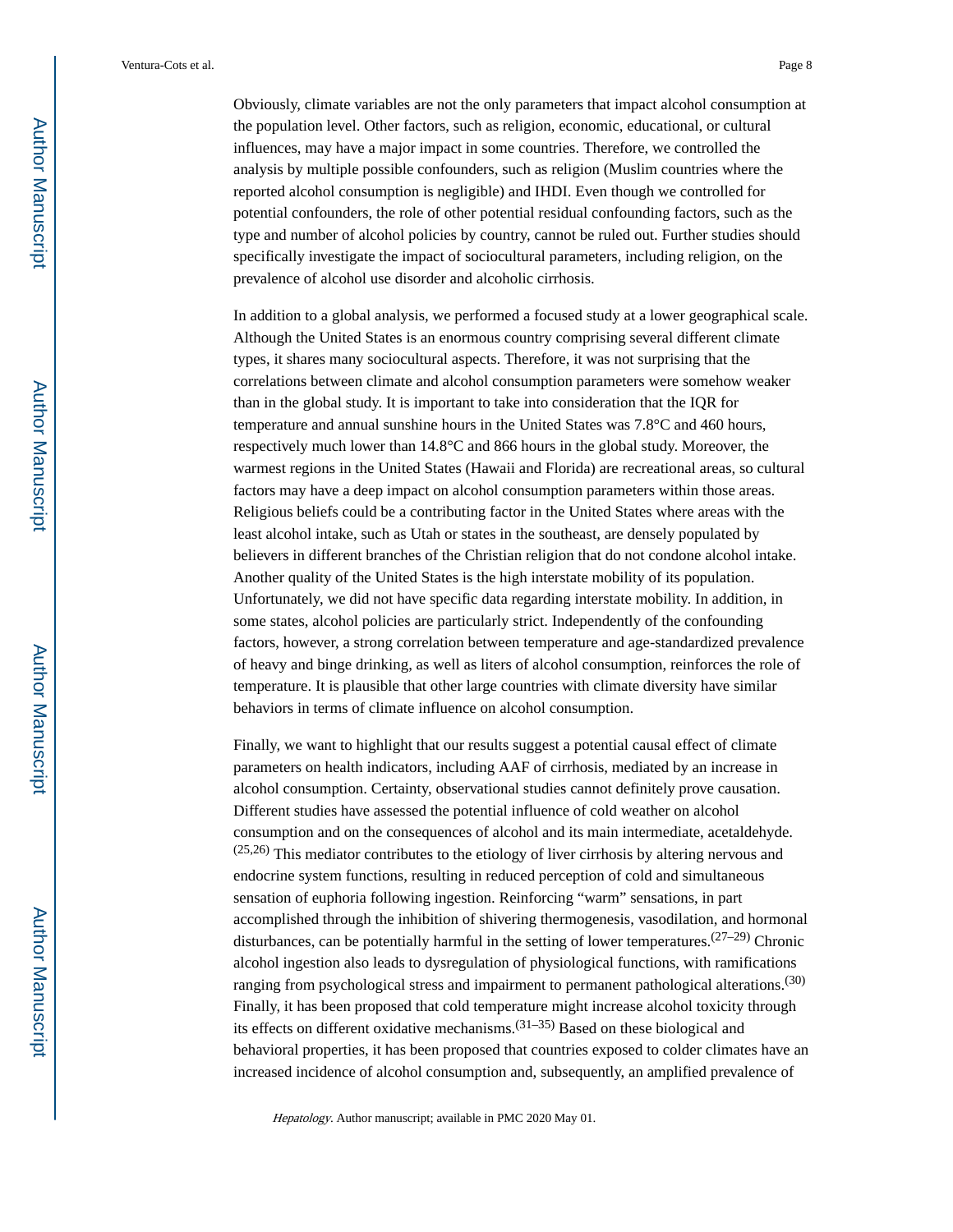Obviously, climate variables are not the only parameters that impact alcohol consumption at the population level. Other factors, such as religion, economic, educational, or cultural influences, may have a major impact in some countries. Therefore, we controlled the analysis by multiple possible confounders, such as religion (Muslim countries where the reported alcohol consumption is negligible) and IHDI. Even though we controlled for potential confounders, the role of other potential residual confounding factors, such as the type and number of alcohol policies by country, cannot be ruled out. Further studies should specifically investigate the impact of sociocultural parameters, including religion, on the prevalence of alcohol use disorder and alcoholic cirrhosis.

In addition to a global analysis, we performed a focused study at a lower geographical scale. Although the United States is an enormous country comprising several different climate types, it shares many sociocultural aspects. Therefore, it was not surprising that the correlations between climate and alcohol consumption parameters were somehow weaker than in the global study. It is important to take into consideration that the IQR for temperature and annual sunshine hours in the United States was 7.8°C and 460 hours, respectively much lower than 14.8°C and 866 hours in the global study. Moreover, the warmest regions in the United States (Hawaii and Florida) are recreational areas, so cultural factors may have a deep impact on alcohol consumption parameters within those areas. Religious beliefs could be a contributing factor in the United States where areas with the least alcohol intake, such as Utah or states in the southeast, are densely populated by believers in different branches of the Christian religion that do not condone alcohol intake. Another quality of the United States is the high interstate mobility of its population. Unfortunately, we did not have specific data regarding interstate mobility. In addition, in some states, alcohol policies are particularly strict. Independently of the confounding factors, however, a strong correlation between temperature and age-standardized prevalence of heavy and binge drinking, as well as liters of alcohol consumption, reinforces the role of temperature. It is plausible that other large countries with climate diversity have similar behaviors in terms of climate influence on alcohol consumption.

Finally, we want to highlight that our results suggest a potential causal effect of climate parameters on health indicators, including AAF of cirrhosis, mediated by an increase in alcohol consumption. Certainty, observational studies cannot definitely prove causation. Different studies have assessed the potential influence of cold weather on alcohol consumption and on the consequences of alcohol and its main intermediate, acetaldehyde.  $(25,26)$  This mediator contributes to the etiology of liver cirrhosis by altering nervous and endocrine system functions, resulting in reduced perception of cold and simultaneous sensation of euphoria following ingestion. Reinforcing "warm" sensations, in part accomplished through the inhibition of shivering thermogenesis, vasodilation, and hormonal disturbances, can be potentially harmful in the setting of lower temperatures.  $(27-29)$  Chronic alcohol ingestion also leads to dysregulation of physiological functions, with ramifications ranging from psychological stress and impairment to permanent pathological alterations.(30) Finally, it has been proposed that cold temperature might increase alcohol toxicity through its effects on different oxidative mechanisms.  $(31-35)$  Based on these biological and behavioral properties, it has been proposed that countries exposed to colder climates have an increased incidence of alcohol consumption and, subsequently, an amplified prevalence of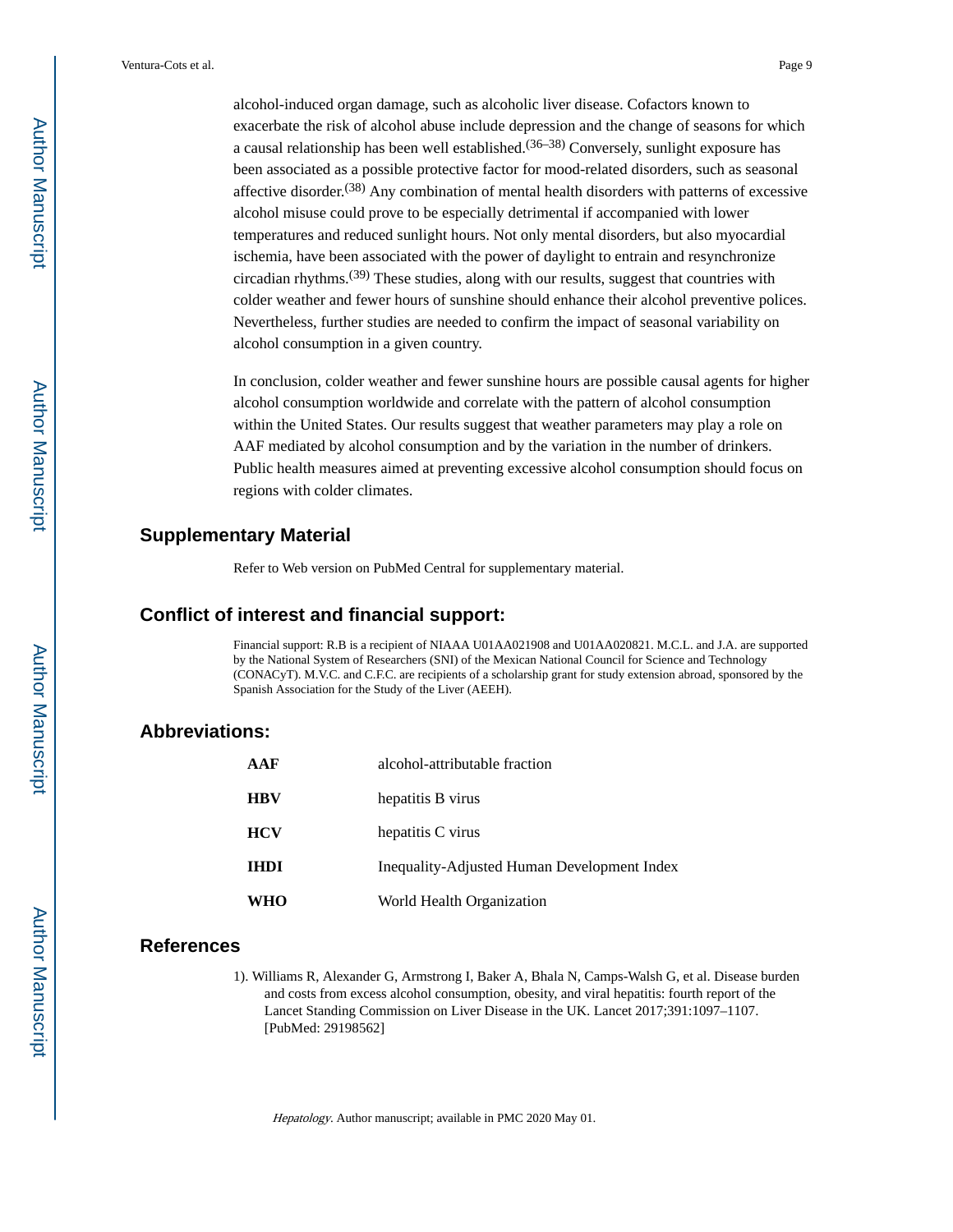alcohol-induced organ damage, such as alcoholic liver disease. Cofactors known to exacerbate the risk of alcohol abuse include depression and the change of seasons for which a causal relationship has been well established.<sup>(36–38)</sup> Conversely, sunlight exposure has been associated as a possible protective factor for mood-related disorders, such as seasonal affective disorder.<sup>(38)</sup> Any combination of mental health disorders with patterns of excessive alcohol misuse could prove to be especially detrimental if accompanied with lower temperatures and reduced sunlight hours. Not only mental disorders, but also myocardial ischemia, have been associated with the power of daylight to entrain and resynchronize circadian rhythms.(39) These studies, along with our results, suggest that countries with colder weather and fewer hours of sunshine should enhance their alcohol preventive polices. Nevertheless, further studies are needed to confirm the impact of seasonal variability on alcohol consumption in a given country.

In conclusion, colder weather and fewer sunshine hours are possible causal agents for higher alcohol consumption worldwide and correlate with the pattern of alcohol consumption within the United States. Our results suggest that weather parameters may play a role on AAF mediated by alcohol consumption and by the variation in the number of drinkers. Public health measures aimed at preventing excessive alcohol consumption should focus on regions with colder climates.

## **Supplementary Material**

Refer to Web version on PubMed Central for supplementary material.

## **Conflict of interest and financial support:**

Financial support: R.B is a recipient of NIAAA U01AA021908 and U01AA020821. M.C.L. and J.A. are supported by the National System of Researchers (SNI) of the Mexican National Council for Science and Technology (CONACyT). M.V.C. and C.F.C. are recipients of a scholarship grant for study extension abroad, sponsored by the Spanish Association for the Study of the Liver (AEEH).

## **Abbreviations:**

| AAF  | alcohol-attributable fraction               |
|------|---------------------------------------------|
| HBV  | hepatitis B virus                           |
| HCV  | hepatitis C virus                           |
| IHDI | Inequality-Adjusted Human Development Index |
| WHO  | World Health Organization                   |

## **References**

1). Williams R, Alexander G, Armstrong I, Baker A, Bhala N, Camps-Walsh G, et al. Disease burden and costs from excess alcohol consumption, obesity, and viral hepatitis: fourth report of the Lancet Standing Commission on Liver Disease in the UK. Lancet 2017;391:1097–1107. [PubMed: 29198562]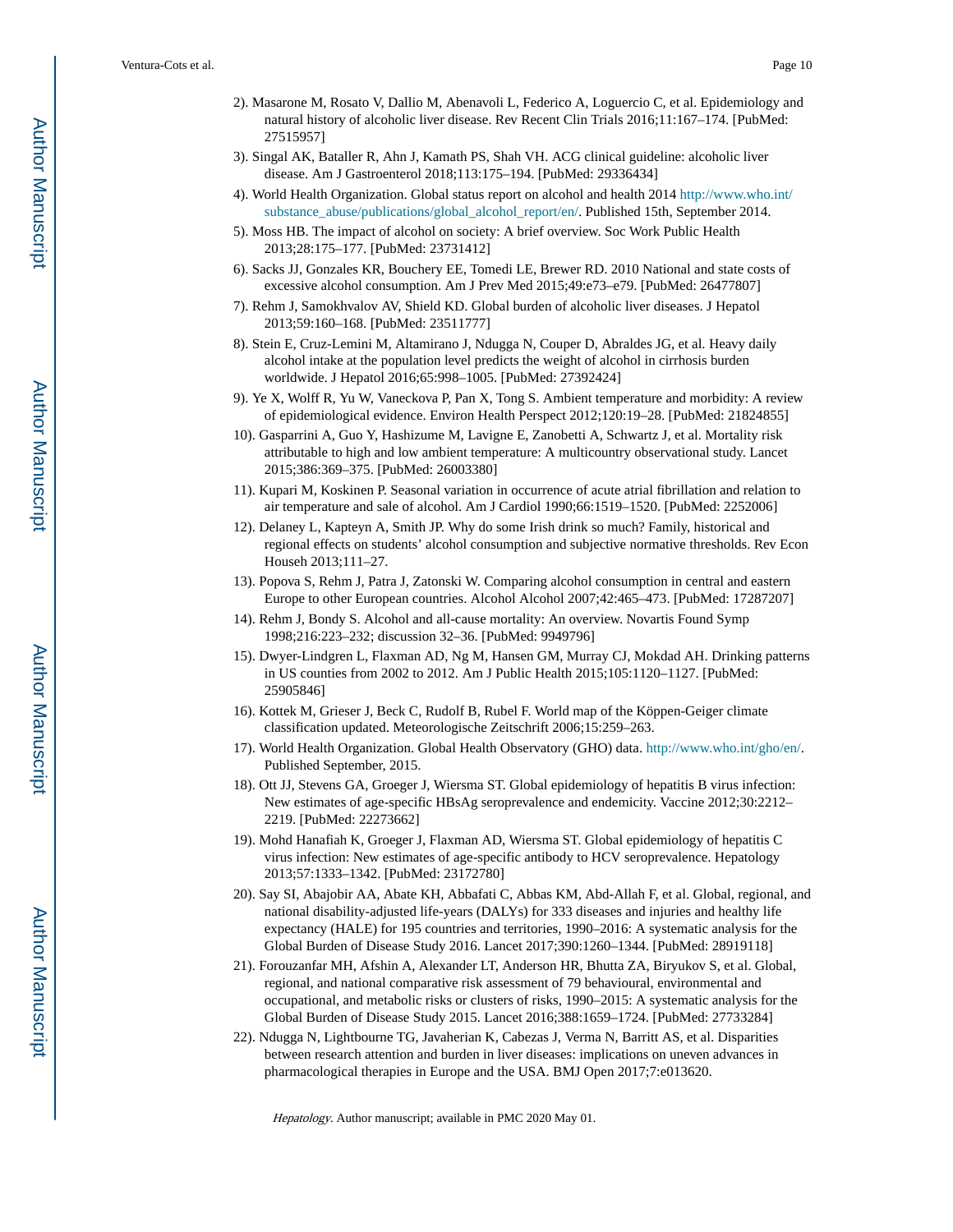- 2). Masarone M, Rosato V, Dallio M, Abenavoli L, Federico A, Loguercio C, et al. Epidemiology and natural history of alcoholic liver disease. Rev Recent Clin Trials 2016;11:167–174. [PubMed: 27515957]
- 3). Singal AK, Bataller R, Ahn J, Kamath PS, Shah VH. ACG clinical guideline: alcoholic liver disease. Am J Gastroenterol 2018;113:175–194. [PubMed: 29336434]
- 4). World Health Organization. Global status report on alcohol and health 2014 [http://www.who.int/](http://www.who.int/substance_abuse/publications/global_alcohol_report/en/) [substance\\_abuse/publications/global\\_alcohol\\_report/en/.](http://www.who.int/substance_abuse/publications/global_alcohol_report/en/) Published 15th, September 2014.
- 5). Moss HB. The impact of alcohol on society: A brief overview. Soc Work Public Health 2013;28:175–177. [PubMed: 23731412]
- 6). Sacks JJ, Gonzales KR, Bouchery EE, Tomedi LE, Brewer RD. 2010 National and state costs of excessive alcohol consumption. Am J Prev Med 2015;49:e73–e79. [PubMed: 26477807]
- 7). Rehm J, Samokhvalov AV, Shield KD. Global burden of alcoholic liver diseases. J Hepatol 2013;59:160–168. [PubMed: 23511777]
- 8). Stein E, Cruz-Lemini M, Altamirano J, Ndugga N, Couper D, Abraldes JG, et al. Heavy daily alcohol intake at the population level predicts the weight of alcohol in cirrhosis burden worldwide. J Hepatol 2016;65:998–1005. [PubMed: 27392424]
- 9). Ye X, Wolff R, Yu W, Vaneckova P, Pan X, Tong S. Ambient temperature and morbidity: A review of epidemiological evidence. Environ Health Perspect 2012;120:19–28. [PubMed: 21824855]
- 10). Gasparrini A, Guo Y, Hashizume M, Lavigne E, Zanobetti A, Schwartz J, et al. Mortality risk attributable to high and low ambient temperature: A multicountry observational study. Lancet 2015;386:369–375. [PubMed: 26003380]
- 11). Kupari M, Koskinen P. Seasonal variation in occurrence of acute atrial fibrillation and relation to air temperature and sale of alcohol. Am J Cardiol 1990;66:1519–1520. [PubMed: 2252006]
- 12). Delaney L, Kapteyn A, Smith JP. Why do some Irish drink so much? Family, historical and regional effects on students' alcohol consumption and subjective normative thresholds. Rev Econ Househ 2013;111–27.
- 13). Popova S, Rehm J, Patra J, Zatonski W. Comparing alcohol consumption in central and eastern Europe to other European countries. Alcohol Alcohol 2007;42:465–473. [PubMed: 17287207]
- 14). Rehm J, Bondy S. Alcohol and all-cause mortality: An overview. Novartis Found Symp 1998;216:223–232; discussion 32–36. [PubMed: 9949796]
- 15). Dwyer-Lindgren L, Flaxman AD, Ng M, Hansen GM, Murray CJ, Mokdad AH. Drinking patterns in US counties from 2002 to 2012. Am J Public Health 2015;105:1120–1127. [PubMed: 25905846]
- 16). Kottek M, Grieser J, Beck C, Rudolf B, Rubel F. World map of the Köppen-Geiger climate classification updated. Meteorologische Zeitschrift 2006;15:259–263.
- 17). World Health Organization. Global Health Observatory (GHO) data. [http://www.who.int/gho/en/.](http://www.who.int/gho/en/) Published September, 2015.
- 18). Ott JJ, Stevens GA, Groeger J, Wiersma ST. Global epidemiology of hepatitis B virus infection: New estimates of age-specific HBsAg seroprevalence and endemicity. Vaccine 2012;30:2212– 2219. [PubMed: 22273662]
- 19). Mohd Hanafiah K, Groeger J, Flaxman AD, Wiersma ST. Global epidemiology of hepatitis C virus infection: New estimates of age-specific antibody to HCV seroprevalence. Hepatology 2013;57:1333–1342. [PubMed: 23172780]
- 20). Say SI, Abajobir AA, Abate KH, Abbafati C, Abbas KM, Abd-Allah F, et al. Global, regional, and national disability-adjusted life-years (DALYs) for 333 diseases and injuries and healthy life expectancy (HALE) for 195 countries and territories, 1990–2016: A systematic analysis for the Global Burden of Disease Study 2016. Lancet 2017;390:1260–1344. [PubMed: 28919118]
- 21). Forouzanfar MH, Afshin A, Alexander LT, Anderson HR, Bhutta ZA, Biryukov S, et al. Global, regional, and national comparative risk assessment of 79 behavioural, environmental and occupational, and metabolic risks or clusters of risks, 1990–2015: A systematic analysis for the Global Burden of Disease Study 2015. Lancet 2016;388:1659–1724. [PubMed: 27733284]
- 22). Ndugga N, Lightbourne TG, Javaherian K, Cabezas J, Verma N, Barritt AS, et al. Disparities between research attention and burden in liver diseases: implications on uneven advances in pharmacological therapies in Europe and the USA. BMJ Open 2017;7:e013620.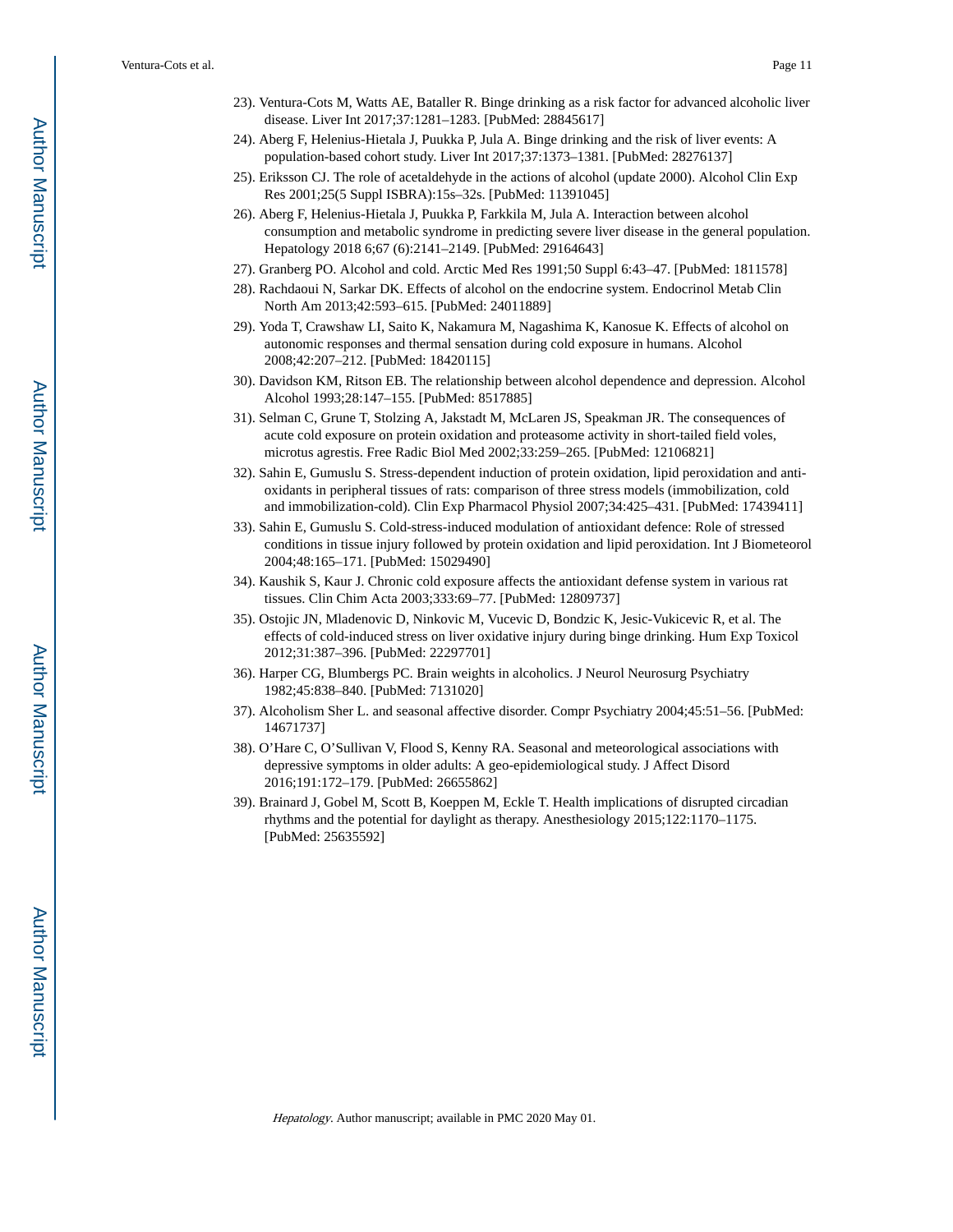- 23). Ventura-Cots M, Watts AE, Bataller R. Binge drinking as a risk factor for advanced alcoholic liver disease. Liver Int 2017;37:1281–1283. [PubMed: 28845617]
- 24). Aberg F, Helenius-Hietala J, Puukka P, Jula A. Binge drinking and the risk of liver events: A population-based cohort study. Liver Int 2017;37:1373–1381. [PubMed: 28276137]
- 25). Eriksson CJ. The role of acetaldehyde in the actions of alcohol (update 2000). Alcohol Clin Exp Res 2001;25(5 Suppl ISBRA):15s–32s. [PubMed: 11391045]
- 26). Aberg F, Helenius-Hietala J, Puukka P, Farkkila M, Jula A. Interaction between alcohol consumption and metabolic syndrome in predicting severe liver disease in the general population. Hepatology 2018 6;67 (6):2141–2149. [PubMed: 29164643]
- 27). Granberg PO. Alcohol and cold. Arctic Med Res 1991;50 Suppl 6:43–47. [PubMed: 1811578]
- 28). Rachdaoui N, Sarkar DK. Effects of alcohol on the endocrine system. Endocrinol Metab Clin North Am 2013;42:593–615. [PubMed: 24011889]
- 29). Yoda T, Crawshaw LI, Saito K, Nakamura M, Nagashima K, Kanosue K. Effects of alcohol on autonomic responses and thermal sensation during cold exposure in humans. Alcohol 2008;42:207–212. [PubMed: 18420115]
- 30). Davidson KM, Ritson EB. The relationship between alcohol dependence and depression. Alcohol Alcohol 1993;28:147–155. [PubMed: 8517885]
- 31). Selman C, Grune T, Stolzing A, Jakstadt M, McLaren JS, Speakman JR. The consequences of acute cold exposure on protein oxidation and proteasome activity in short-tailed field voles, microtus agrestis. Free Radic Biol Med 2002;33:259–265. [PubMed: 12106821]
- 32). Sahin E, Gumuslu S. Stress-dependent induction of protein oxidation, lipid peroxidation and antioxidants in peripheral tissues of rats: comparison of three stress models (immobilization, cold and immobilization-cold). Clin Exp Pharmacol Physiol 2007;34:425–431. [PubMed: 17439411]
- 33). Sahin E, Gumuslu S. Cold-stress-induced modulation of antioxidant defence: Role of stressed conditions in tissue injury followed by protein oxidation and lipid peroxidation. Int J Biometeorol 2004;48:165–171. [PubMed: 15029490]
- 34). Kaushik S, Kaur J. Chronic cold exposure affects the antioxidant defense system in various rat tissues. Clin Chim Acta 2003;333:69–77. [PubMed: 12809737]
- 35). Ostojic JN, Mladenovic D, Ninkovic M, Vucevic D, Bondzic K, Jesic-Vukicevic R, et al. The effects of cold-induced stress on liver oxidative injury during binge drinking. Hum Exp Toxicol 2012;31:387–396. [PubMed: 22297701]
- 36). Harper CG, Blumbergs PC. Brain weights in alcoholics. J Neurol Neurosurg Psychiatry 1982;45:838–840. [PubMed: 7131020]
- 37). Alcoholism Sher L. and seasonal affective disorder. Compr Psychiatry 2004;45:51–56. [PubMed: 14671737]
- 38). O'Hare C, O'Sullivan V, Flood S, Kenny RA. Seasonal and meteorological associations with depressive symptoms in older adults: A geo-epidemiological study. J Affect Disord 2016;191:172–179. [PubMed: 26655862]
- 39). Brainard J, Gobel M, Scott B, Koeppen M, Eckle T. Health implications of disrupted circadian rhythms and the potential for daylight as therapy. Anesthesiology 2015;122:1170–1175. [PubMed: 25635592]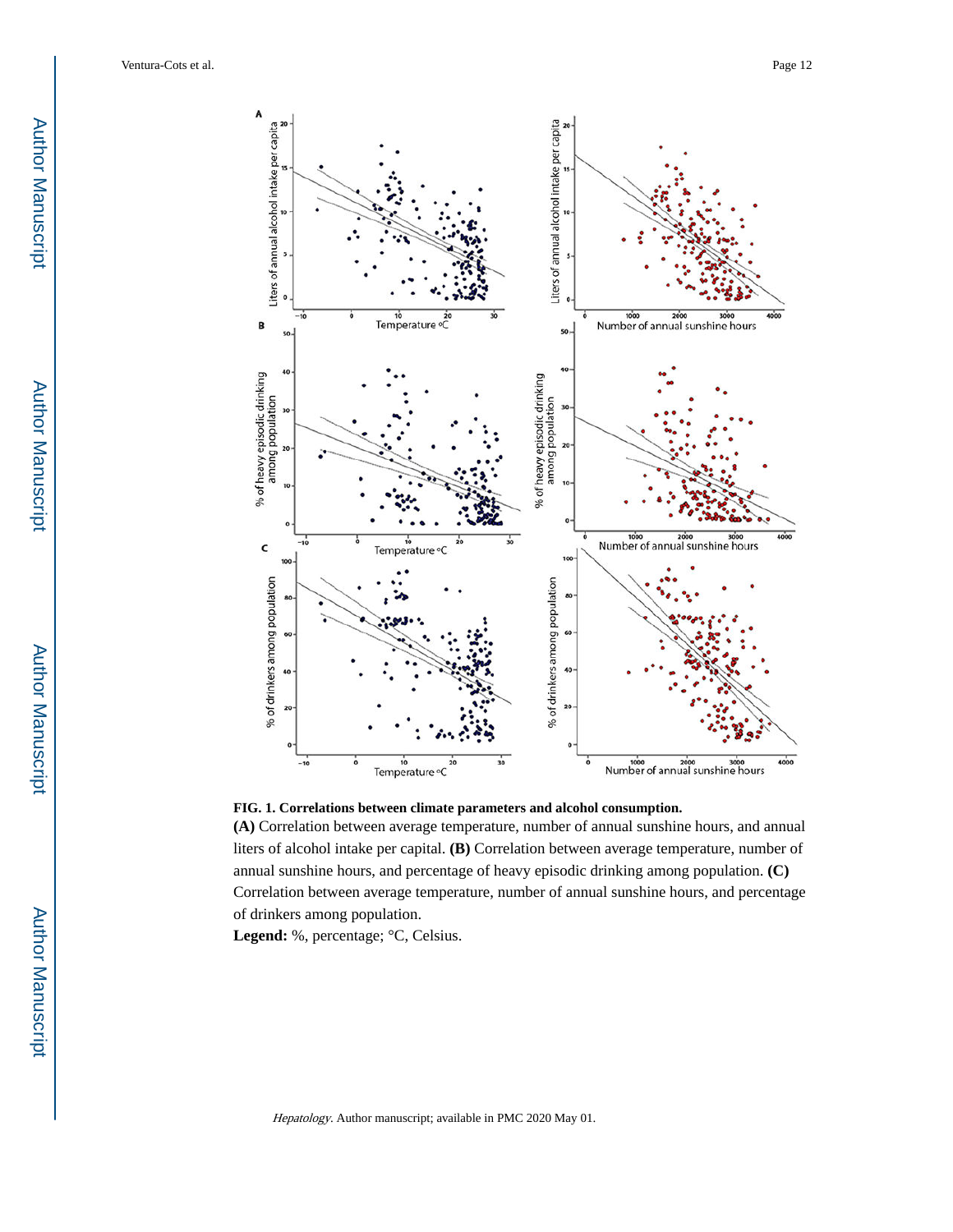

**FIG. 1. Correlations between climate parameters and alcohol consumption.**

**(A)** Correlation between average temperature, number of annual sunshine hours, and annual liters of alcohol intake per capital. **(B)** Correlation between average temperature, number of annual sunshine hours, and percentage of heavy episodic drinking among population. **(C)**  Correlation between average temperature, number of annual sunshine hours, and percentage of drinkers among population.

**Legend:** %, percentage; °C, Celsius.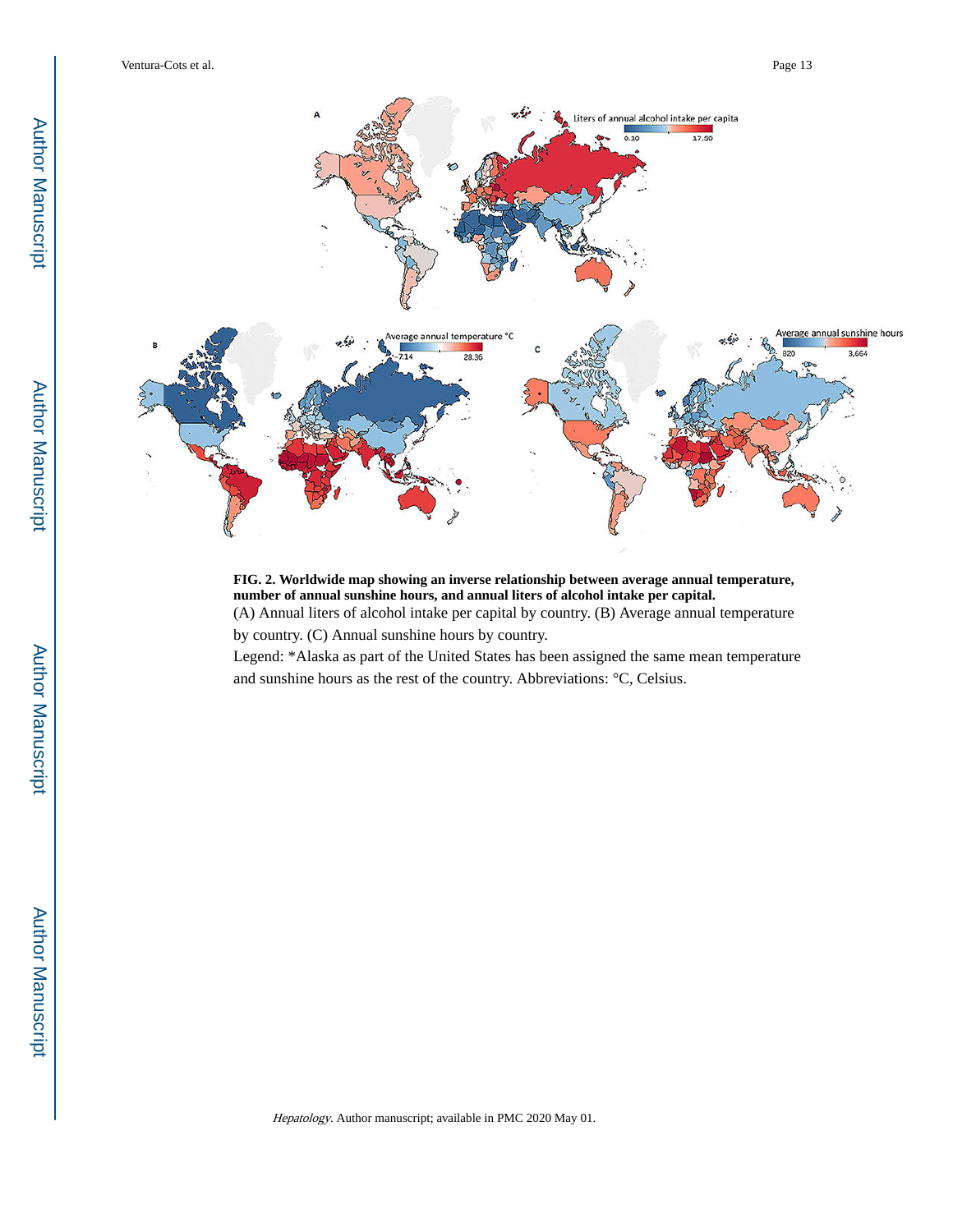

**FIG. 2. Worldwide map showing an inverse relationship between average annual temperature, number of annual sunshine hours, and annual liters of alcohol intake per capital.**

(A) Annual liters of alcohol intake per capital by country. (B) Average annual temperature by country. (C) Annual sunshine hours by country.

Legend: \*Alaska as part of the United States has been assigned the same mean temperature and sunshine hours as the rest of the country. Abbreviations: °C, Celsius.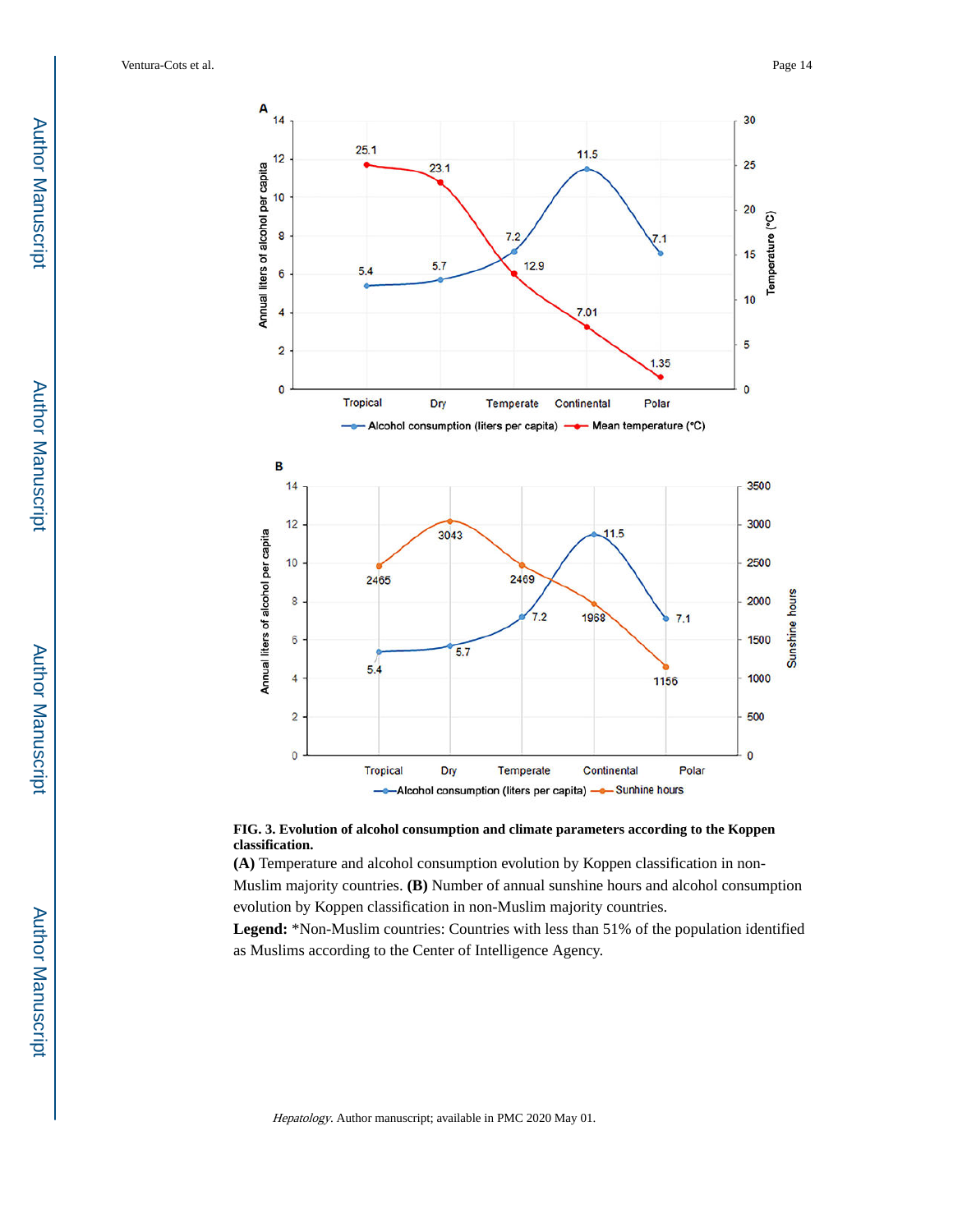

#### **FIG. 3. Evolution of alcohol consumption and climate parameters according to the Koppen classification.**

**(A)** Temperature and alcohol consumption evolution by Koppen classification in non-Muslim majority countries. **(B)** Number of annual sunshine hours and alcohol consumption evolution by Koppen classification in non-Muslim majority countries.

**Legend:** \*Non-Muslim countries: Countries with less than 51% of the population identified as Muslims according to the Center of Intelligence Agency.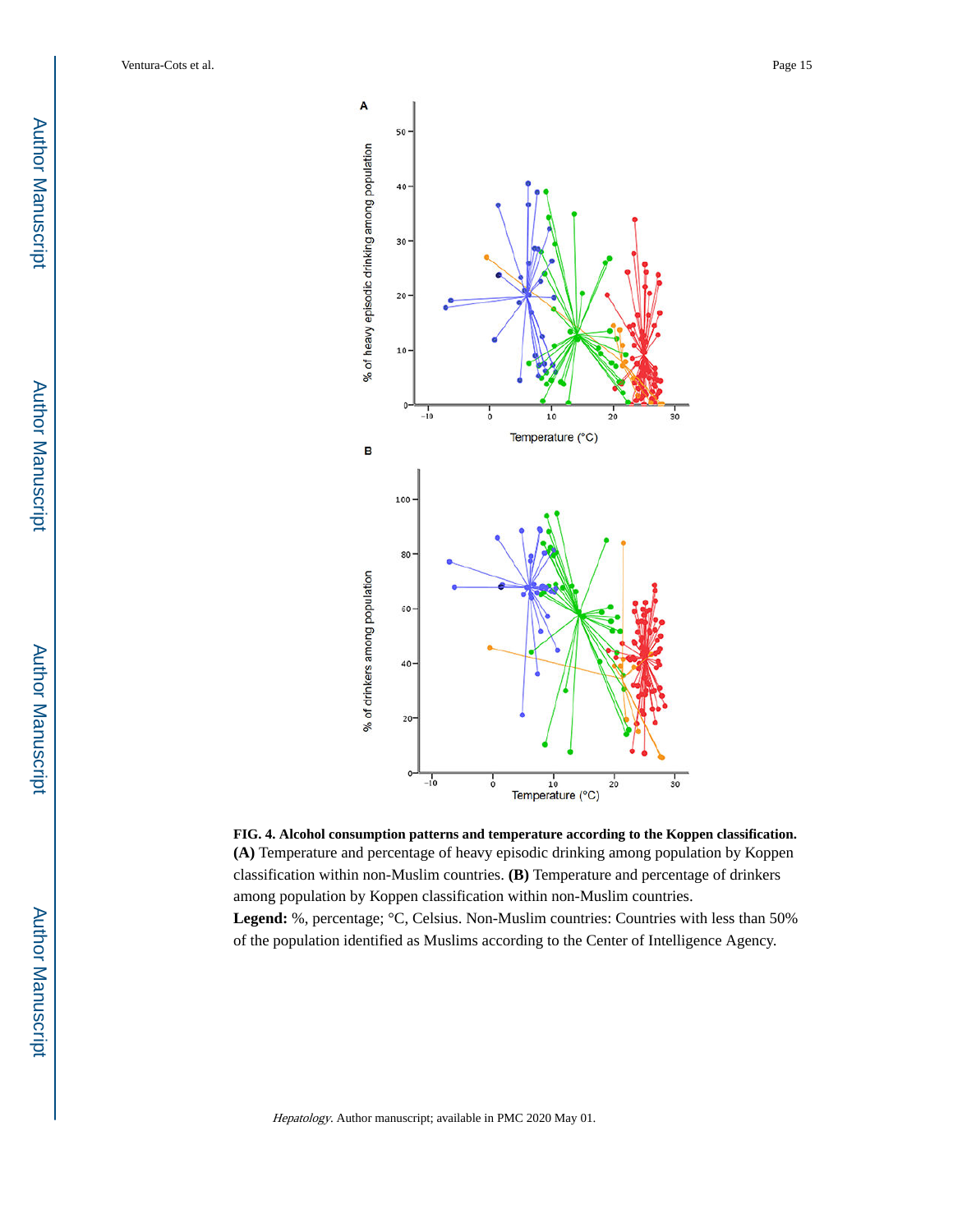

**FIG. 4. Alcohol consumption patterns and temperature according to the Koppen classification. (A)** Temperature and percentage of heavy episodic drinking among population by Koppen classification within non-Muslim countries. **(B)** Temperature and percentage of drinkers among population by Koppen classification within non-Muslim countries. Legend: %, percentage; °C, Celsius. Non-Muslim countries: Countries with less than 50% of the population identified as Muslims according to the Center of Intelligence Agency.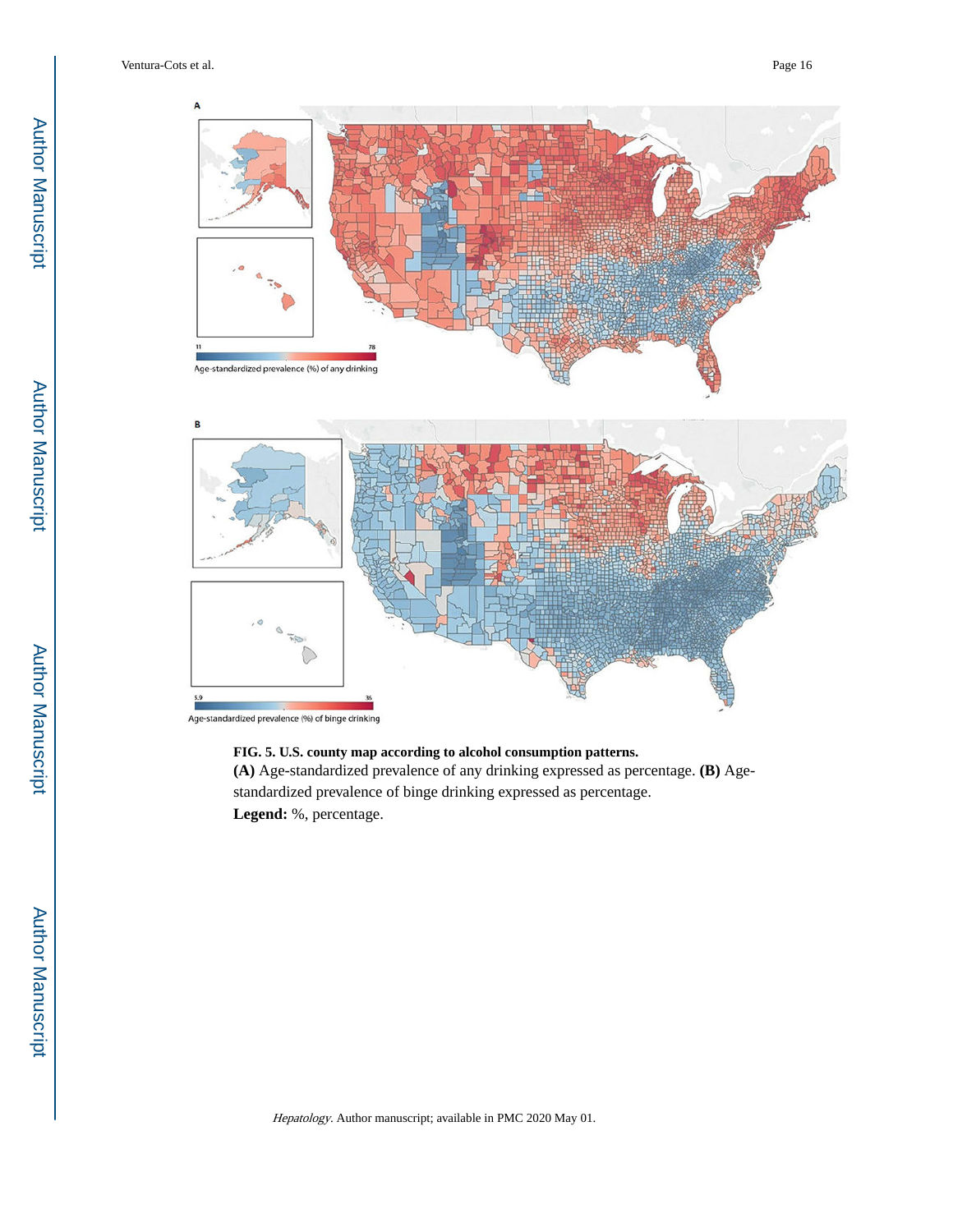



#### **FIG. 5. U.S. county map according to alcohol consumption patterns.**

**(A)** Age-standardized prevalence of any drinking expressed as percentage. **(B)** Agestandardized prevalence of binge drinking expressed as percentage. **Legend:** %, percentage.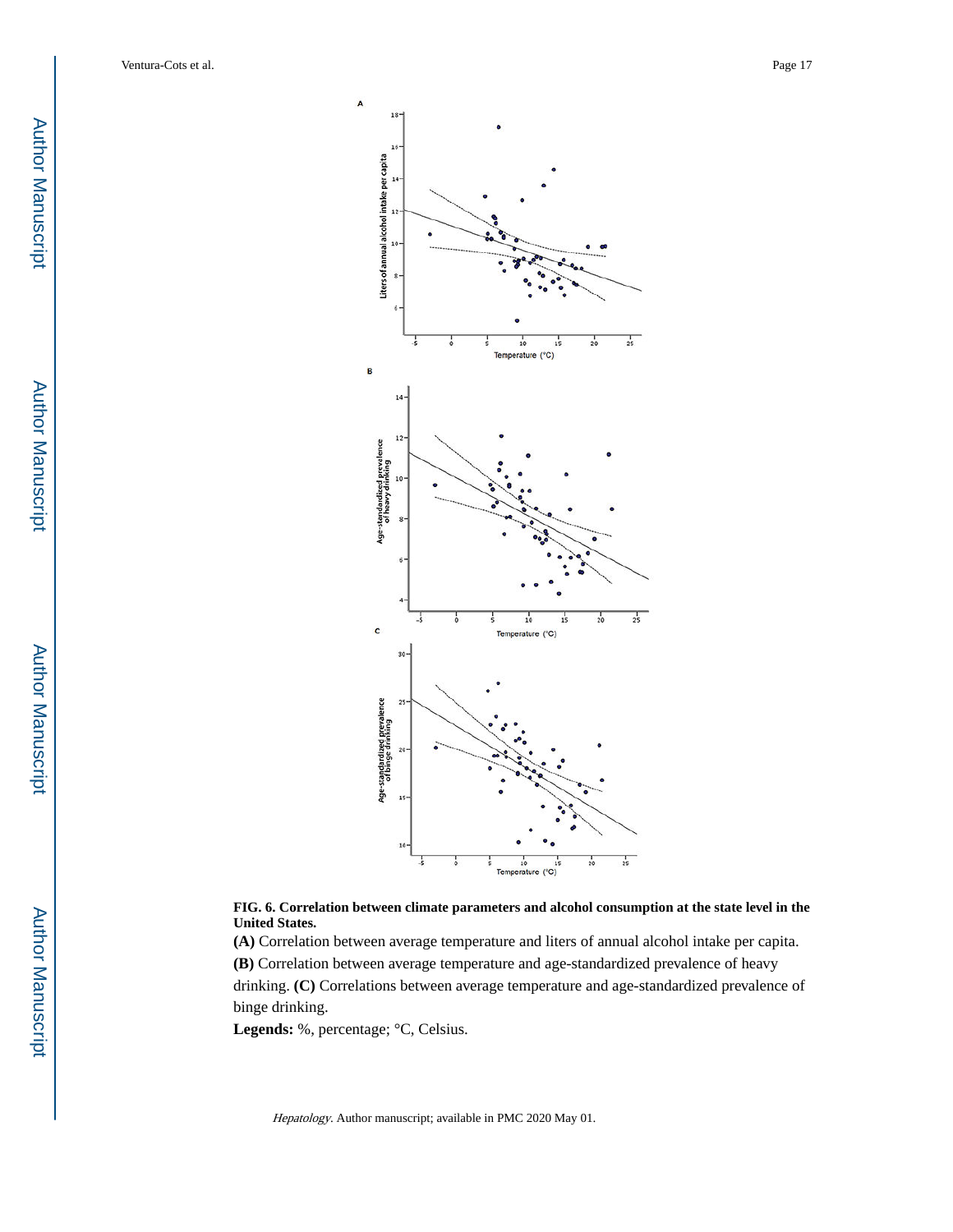



**(A)** Correlation between average temperature and liters of annual alcohol intake per capita. **(B)** Correlation between average temperature and age-standardized prevalence of heavy drinking. **(C)** Correlations between average temperature and age-standardized prevalence of binge drinking.

Legends: %, percentage; °C, Celsius.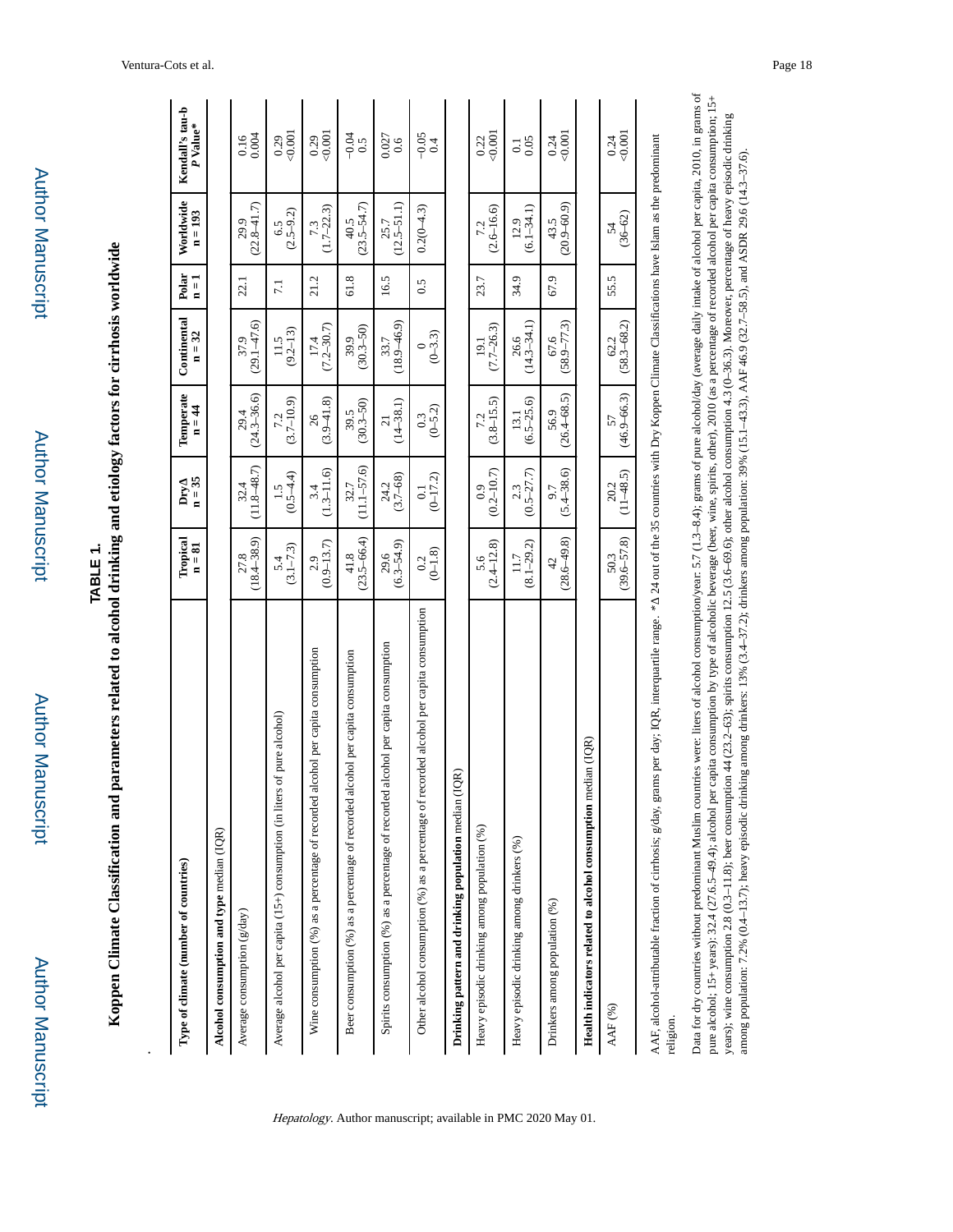Author Manuscript Author Manuscript

| щ<br>I | l  |
|--------|----|
| ٠      |    |
| TABI   | ֘֒ |
|        |    |
|        | l  |

Koppen Climate Classification and parameters related to alcohol drinking and etiology factors for cirrhosis worldwide **Koppen Climate Classification and parameters related to alcohol drinking and etiology factors for cirrhosis worldwide**

| Type of climate (number of countries)                                                                                                                                                                                                                                                                                                                                                                                           | Propical<br>$n = 81$    | $n = 35$<br>Dry                | Temperate<br>$n = 44$   | Continental<br>$n = 32$                                                                          | Polar<br>$n = 1$ | Worldwide<br>$n = 193$  | Kendall's tau-b<br>P Value* |
|---------------------------------------------------------------------------------------------------------------------------------------------------------------------------------------------------------------------------------------------------------------------------------------------------------------------------------------------------------------------------------------------------------------------------------|-------------------------|--------------------------------|-------------------------|--------------------------------------------------------------------------------------------------|------------------|-------------------------|-----------------------------|
| Alcohol consumption and type median (IQR)                                                                                                                                                                                                                                                                                                                                                                                       |                         |                                |                         |                                                                                                  |                  |                         |                             |
| Average consumption $(g/day)$                                                                                                                                                                                                                                                                                                                                                                                                   | $(18.4 - 38.9)$<br>27.8 | $(11.8 - 48.7)$<br>32.4        | $(24.3 - 36.6)$<br>29.4 | $(29.1 - 47.6)$<br>37.9                                                                          | 22.1             | $(22.8 - 41.7)$<br>29.9 | 0.004<br>0.16               |
| of pure alcohol)<br>Average alcohol per capita (15+) consumption (in liters                                                                                                                                                                                                                                                                                                                                                     | $(3.1 - 7.3)$<br>5.4    | $(0.5 - 4.4)$<br>1.5           | $(3.7 - 10.9)$<br>7.2   | $(9.2 - 13)$<br>11.5                                                                             | $\overline{7.1}$ | $(2.5 - 9.2)$<br>6.5    | 0.001<br>0.29               |
| lcohol per capita consumption<br>Wine consumption $(\%)$ as a percentage of recorded a                                                                                                                                                                                                                                                                                                                                          | $(0.9 - 13.7)$<br>2.9   | $(1.3 - 11.6)$<br>3.4          | $(3.9 - 41.8)$<br>26    | $(7.2 - 30.7)$<br>17.4                                                                           | 21.2             | $(1.7 - 22.3)$<br>7.3   | $-0.001$<br>0.29            |
| cohol per capita consumption<br>Beer consumption (%) as a percentage of recorded al                                                                                                                                                                                                                                                                                                                                             | $(23.5 - 66.4)$<br>41.8 | $(11.1 - 57.6)$<br>32.7        | $(30.3 - 50)$<br>39.5   | $(30.3 - 50)$<br>39.9                                                                            | 61.8             | $(23.5 - 54.7)$<br>40.5 | $-0.04$<br>0.5              |
| alcohol per capita consumption<br>Spirits consumption (%) as a percentage of recorded                                                                                                                                                                                                                                                                                                                                           | $(6.3 - 54.9)$<br>29.6  | $(3.7 - 68)$<br>24.2           | $(14 - 38.1)$<br>ಸ      | $(18.9 - 46.9)$<br>33.7                                                                          | 16.5             | $(12.5 - 51.1)$<br>25.7 | $0.027\,$<br>0.6            |
| Other alcohol consumption (%) as a percentage of recorded alcohol per capita consumption                                                                                                                                                                                                                                                                                                                                        | $(0 - 1.8)$<br>0.2      | $(0 - 17.2)$<br>$\overline{c}$ | $(0 - 5.2)$<br>0.3      | $(0 - 3.3)$                                                                                      | 0.5              | $0.2(0-4.3)$            | $-0.05$<br>0.4              |
| QR)<br>Drinking pattern and drinking population median (1                                                                                                                                                                                                                                                                                                                                                                       |                         |                                |                         |                                                                                                  |                  |                         |                             |
| Heavy episodic drinking among population (%)                                                                                                                                                                                                                                                                                                                                                                                    | $(2.4 - 12.8)$          | $(0.2 - 10.7)$<br>$\ddot{0}$   | $(3.8 - 15.5)$<br>7.2   | $(7.7 - 26.3)$<br>19.1                                                                           | 23.7             | $(2.6 - 16.6)$<br>7.2   | 0.001<br>0.22               |
| Heavy episodic drinking among drinkers (%)                                                                                                                                                                                                                                                                                                                                                                                      | $(8.1 - 29.2)$<br>11.7  | $(0.5 - 27.7)$<br>2.3          | $(6.5 - 25.6)$<br>13.1  | $(14.3 - 34.1)$<br>26.6                                                                          | 34.9             | $(6.1 - 34.1)$<br>12.9  | 0.05<br>$\overline{0}$      |
| Drinkers among population (%)                                                                                                                                                                                                                                                                                                                                                                                                   | $(28.6 - 49.8)$<br>42   | $(5.4 - 38.6)$<br>9.7          | $(26.4 - 68.5)$<br>56.9 | $(58.9 - 77.3)$<br>67.6                                                                          | 67.9             | $(20.9 - 60.9)$<br>43.5 | 0.001<br>0.24               |
| edian (IQR)<br>Health indicators related to alcohol consumption mo                                                                                                                                                                                                                                                                                                                                                              |                         |                                |                         |                                                                                                  |                  |                         |                             |
| AAF(%)                                                                                                                                                                                                                                                                                                                                                                                                                          | $39.6 - 57.8$<br>50.3   | $(11 - 48.5)$<br>20.2          | $(46.9 - 66.3)$<br>57   | $(58.3 - 68.2)$<br>62.2                                                                          | 55.5             | $(36 - 62)$<br>54       | 0.001<br>0.24               |
| AAF, alcohol-attributable fraction of cirrhosis; g/day, grams per day; IQR, interquartile range. *<br>religion.                                                                                                                                                                                                                                                                                                                 |                         |                                |                         | 24 out of the 35 countries with Dry Koppen Climate Classifications have Islam as the predominant |                  |                         |                             |
| Data for dry countries without predominant Muslim countries were: liters of alcohol consumption/year: 5.7 (1.3-8.4); grams of pure alcohol/day (average daily intake of alcohol per capita, 2010, in grams of<br>pure alcohol; 15+ years): 32.4 (27.6.5-49.4); alcohol per capita consumption by type of alcoholic beverage (beer, wine, spirits, other), 2010 (as a percentage of recorded alcohol per capita consumption; 15+ |                         |                                |                         |                                                                                                  |                  |                         |                             |

Hepatology. Author manuscript; available in PMC 2020 May 01.

pure alcohol; 15+ years): 32.4 (27.6.5–49.4); alcohol per capita consumption by type of alcoholic beverage (beer, wine, spirits, other), 2010 (as a percentage of recorded alcohol per capita consumption; 15+ years); wine consumption 2.8 (0.3–11.8); beer consumption 44 (23.2–63); spirits consumption 12.5 (3.6–69.6); other alcohol consumption 4.3 (0–36.3). Moreover, percentage of heavy episodic drinking among population: 7.2% (0.4–13.7); heavy episodic drinking among drinkers: 13% (3.4–37.2); drinkers among population: 39% (15.1–43.3), AAF 46.9 (32.7–58.5), and ASDR 29.6 (14.3–37.6).

years); wine consumption 2.8 (0.3–11.8); beer consumption 44 (23.2–63); spirits consumption 12.5 (3.6–69.6); other alcohol consumption 4.3 (0–36.3). Moreover, percentage of heavy episodic drinking<br>among population: 7.2% (0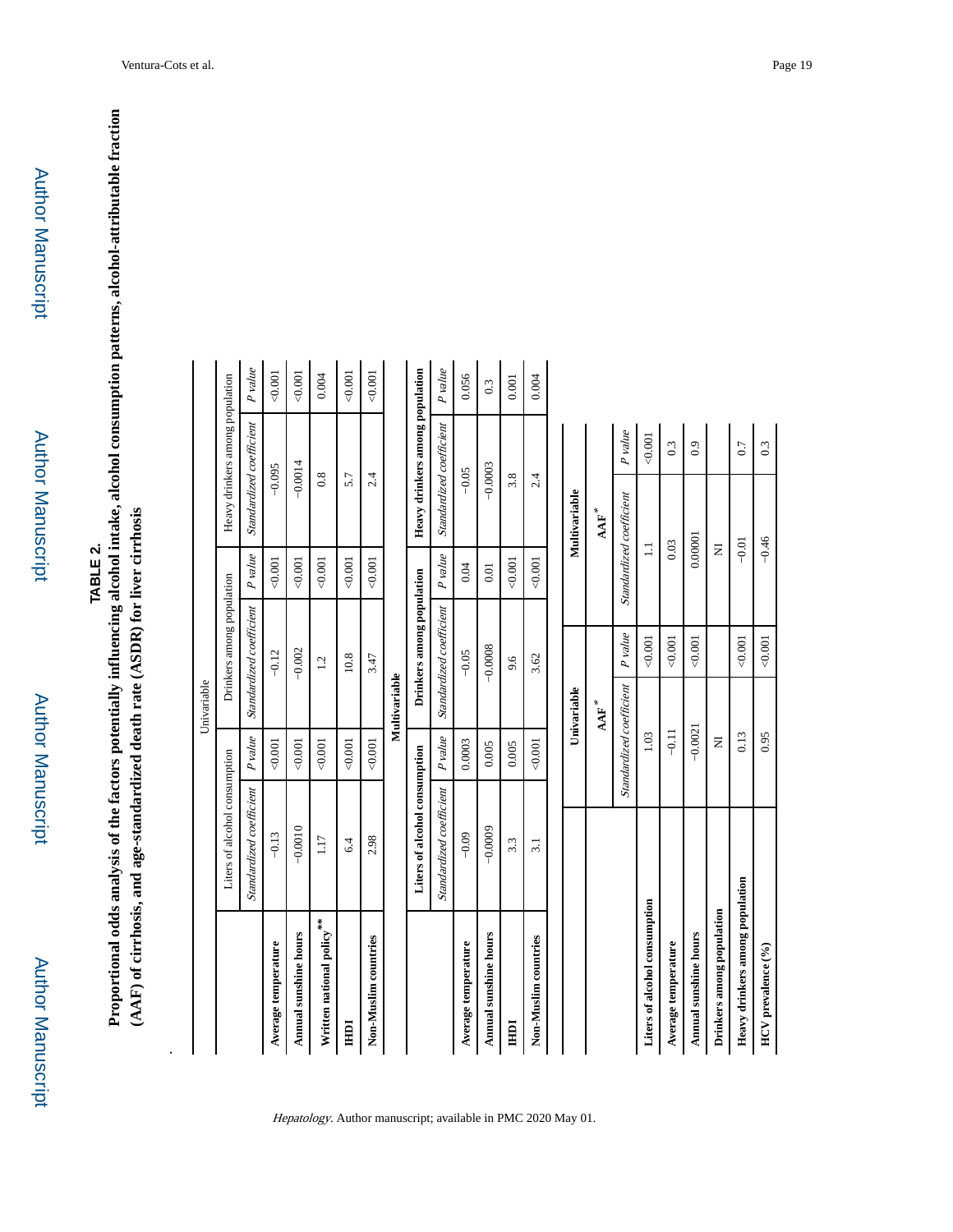.

Author Manuscript

**Author Manuscript** 

TABLE 2.<br>Proportional odds analysis of the factors potentially influencing alcohol intake, alcohol consumption patterns, alcohol-attributable fraction **Proportional odds analysis of the factors potentially influencing alcohol intake, alcohol consumption patterns, alcohol-attributable fraction**  (AAF) of cirrhosis, and age-standardized death rate (ASDR) for liver cirrhosis **(AAF) of cirrhosis, and age-standardized death rate (ASDR) for liver cirrhosis**

|                                 |                               |                          | Univariable                        |                           |                          |                                    |         |         |
|---------------------------------|-------------------------------|--------------------------|------------------------------------|---------------------------|--------------------------|------------------------------------|---------|---------|
|                                 | Liters of alcohol consumption |                          |                                    | Drinkers among population |                          | Heavy drinkers among population    |         |         |
|                                 | Standardized coefficient      | P value                  |                                    | Standardized coefficient  | P value                  | Standardized coefficient           |         | P value |
| Average temperature             | $-0.13$                       | 0.001                    |                                    | $-0.12$                   | 0.001                    | $-0.095$                           |         | 0.001   |
| <b>Annual sunshine hours</b>    | $-0.0010$                     | 0.001                    |                                    | $-0.002$                  | 0.001                    | $-0.0014$                          |         | 0.001   |
| Written national policy**       | 1.17                          | 0.001                    |                                    | 1.2                       | 0.001                    | 0.8                                |         | 0.004   |
| <b>IHDI</b>                     | 6.4                           | 0.001                    |                                    | 10.8                      | 0.001                    | 5.7                                |         | 0.001   |
| Non-Muslim countries            | 2.98                          | 0.001                    |                                    | 3.47                      | 0.001                    | 2.4                                |         | 0.001   |
|                                 |                               |                          | Multivariable                      |                           |                          |                                    |         |         |
|                                 | Liters of alcohol consumption |                          |                                    | Drinkers among population |                          | Heavy drinkers among population    |         |         |
|                                 | Standardized coefficient      | P value                  |                                    | Standardized coefficient  | P value                  | Standardized coefficient           |         | P value |
| Average temperature             | $-0.09$                       | 0.0003                   |                                    | $-0.05$                   | 0.04                     | $-0.05$                            |         | 0.056   |
| <b>Annual sunshine hours</b>    | $-0.0009$                     | 0.005                    |                                    | $-0.0008$                 | 0.01                     | $-0.0003$                          |         | 0.3     |
| <b>IHDI</b>                     | $3.\overline{3}$              | 0.005                    |                                    | 9.6                       | 0.001                    | 3.8                                |         | 0.001   |
| Non-Muslim countries            | 3.1                           | 0.001                    |                                    | 3.62                      | 0.001                    | 2.4                                |         | 0.004   |
|                                 |                               |                          |                                    |                           |                          |                                    |         |         |
|                                 |                               |                          | Univariable                        |                           |                          | Multivariable                      |         |         |
|                                 |                               |                          | $\mathbf{A}\mathbf{A}\mathbf{F}^*$ |                           |                          | $\mathbf{A}\mathbf{A}\mathbf{F}^*$ |         |         |
|                                 |                               | Standardized coefficient |                                    | P value                   | Standardized coefficient |                                    | P value |         |
| Liters of alcohol consumption   |                               | 1.03                     |                                    | 0.001                     | $\Xi$                    |                                    | 0.001   |         |
| Average temperature             |                               | $-0.11$                  |                                    | 0.001                     | 0.03                     |                                    | 0.3     |         |
| Annual sunshine hours           |                               | $-0.0021$                |                                    | 0.001                     | 0.00001                  |                                    | 0.9     |         |
| Drinkers among population       |                               | $\overline{z}$           |                                    |                           | Σ                        |                                    |         |         |
| Heavy drinkers among population |                               | 0.13                     |                                    | 0.001                     | $-0.01$                  |                                    | 0.7     |         |
| HCV prevalence (%)              |                               | 0.95                     |                                    | 0.001                     | $-0.46$                  |                                    | 0.3     |         |